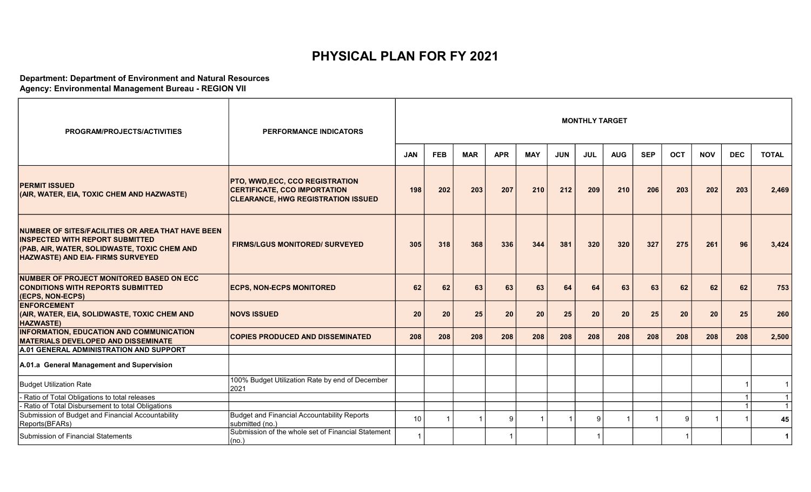## PHYSICAL PLAN FOR FY 2021

## Department: Department of Environment and Natural Resources

Agency: Environmental Management Bureau - REGION VII

| PROGRAM/PROJECTS/ACTIVITIES                                                                                                                                                             | <b>PERFORMANCE INDICATORS</b>                                                                                             |            |            |            |            |            |            | <b>MONTHLY TARGET</b> |            |            |            |            |                |              |
|-----------------------------------------------------------------------------------------------------------------------------------------------------------------------------------------|---------------------------------------------------------------------------------------------------------------------------|------------|------------|------------|------------|------------|------------|-----------------------|------------|------------|------------|------------|----------------|--------------|
|                                                                                                                                                                                         |                                                                                                                           | <b>JAN</b> | <b>FEB</b> | <b>MAR</b> | <b>APR</b> | <b>MAY</b> | <b>JUN</b> | <b>JUL</b>            | <b>AUG</b> | <b>SEP</b> | <b>OCT</b> | <b>NOV</b> | <b>DEC</b>     | <b>TOTAL</b> |
| <b>PERMIT ISSUED</b><br>(AIR, WATER, EIA, TOXIC CHEM AND HAZWASTE)                                                                                                                      | <b>PTO, WWD,ECC, CCO REGISTRATION</b><br><b>CERTIFICATE, CCO IMPORTATION</b><br><b>CLEARANCE, HWG REGISTRATION ISSUED</b> | 198        | 202        | 203        | 207        | 210        | 212        | 209                   | 210        | 206        | 203        | 202        | 203            | 2,469        |
| NUMBER OF SITES/FACILITIES OR AREA THAT HAVE BEEN<br><b>INSPECTED WITH REPORT SUBMITTED</b><br>(PAB, AIR, WATER, SOLIDWASTE, TOXIC CHEM AND<br><b>HAZWASTE) AND EIA- FIRMS SURVEYED</b> | <b>FIRMS/LGUS MONITORED/ SURVEYED</b>                                                                                     | 305        | 318        | 368        | 336        | 344        | 381        | 320                   | 320        | 327        | 275        | 261        | 96             | 3,424        |
| NUMBER OF PROJECT MONITORED BASED ON ECC<br><b>CONDITIONS WITH REPORTS SUBMITTED</b><br>(ECPS, NON-ECPS)                                                                                | <b>ECPS, NON-ECPS MONITORED</b>                                                                                           | 62         | 62         | 63         | 63         | 63         | 64         | 64                    | 63         | 63         | 62         | 62         | 62             | 753          |
| <b>ENFORCEMENT</b><br>(AIR, WATER, EIA, SOLIDWASTE, TOXIC CHEM AND<br><b>HAZWASTE)</b>                                                                                                  | <b>NOVS ISSUED</b>                                                                                                        | 20         | 20         | 25         | 20         | 20         | 25         | 20                    | 20         | 25         | 20         | 20         | 25             | 260          |
| INFORMATION, EDUCATION AND COMMUNICATION<br><b>MATERIALS DEVELOPED AND DISSEMINATE</b>                                                                                                  | <b>COPIES PRODUCED AND DISSEMINATED</b>                                                                                   | 208        | 208        | 208        | 208        | 208        | 208        | 208                   | 208        | 208        | 208        | 208        | 208            | 2,500        |
| A.01 GENERAL ADMINISTRATION AND SUPPORT                                                                                                                                                 |                                                                                                                           |            |            |            |            |            |            |                       |            |            |            |            |                |              |
| A.01.a General Management and Supervision                                                                                                                                               |                                                                                                                           |            |            |            |            |            |            |                       |            |            |            |            |                |              |
| Budget Utilization Rate                                                                                                                                                                 | 100% Budget Utilization Rate by end of December<br>2021                                                                   |            |            |            |            |            |            |                       |            |            |            |            |                | $\mathbf{1}$ |
| - Ratio of Total Obligations to total releases                                                                                                                                          |                                                                                                                           |            |            |            |            |            |            |                       |            |            |            |            | $\mathbf 1$    | $\mathbf{1}$ |
| - Ratio of Total Disbursement to total Obligations                                                                                                                                      |                                                                                                                           |            |            |            |            |            |            |                       |            |            |            |            | $\overline{1}$ | $\mathbf{1}$ |
| Submission of Budget and Financial Accountability<br>Reports(BFARs)                                                                                                                     | Budget and Financial Accountability Reports<br>submitted (no.)                                                            | 10         |            |            | 9          |            |            | 9                     |            |            | q          |            |                | 45           |
| Submission of Financial Statements                                                                                                                                                      | Submission of the whole set of Financial Statement<br> (no.)                                                              |            |            |            |            |            |            | $\overline{1}$        |            |            |            |            |                | $\mathbf{1}$ |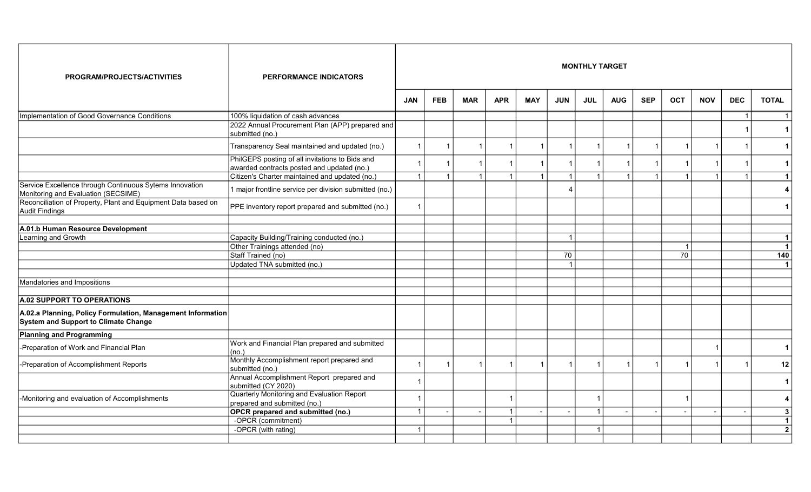| PROGRAM/PROJECTS/ACTIVITIES                                                                                | <b>PERFORMANCE INDICATORS</b>                                                                           |            |            |            |            |            |            | <b>MONTHLY TARGET</b> |            |            |            |            |                         |                             |
|------------------------------------------------------------------------------------------------------------|---------------------------------------------------------------------------------------------------------|------------|------------|------------|------------|------------|------------|-----------------------|------------|------------|------------|------------|-------------------------|-----------------------------|
|                                                                                                            |                                                                                                         | <b>JAN</b> | <b>FEB</b> | <b>MAR</b> | <b>APR</b> | <b>MAY</b> | <b>JUN</b> | <b>JUL</b>            | <b>AUG</b> | <b>SEP</b> | <b>OCT</b> | <b>NOV</b> | <b>DEC</b>              | <b>TOTAL</b>                |
| Implementation of Good Governance Conditions                                                               | 100% liquidation of cash advances<br>2022 Annual Procurement Plan (APP) prepared and<br>submitted (no.) |            |            |            |            |            |            |                       |            |            |            |            | $\overline{\mathbf{1}}$ | $\mathbf{1}$<br>$\mathbf 1$ |
|                                                                                                            | Transparency Seal maintained and updated (no.)                                                          |            |            |            |            |            |            |                       |            |            |            |            |                         | $\mathbf{1}$                |
|                                                                                                            | PhilGEPS posting of all invitations to Bids and<br>awarded contracts posted and updated (no.)           |            |            |            |            |            |            |                       |            |            |            |            |                         | $\mathbf 1$                 |
|                                                                                                            | Citizen's Charter maintained and updated (no.)                                                          |            |            |            |            |            |            |                       |            |            |            |            |                         | $\mathbf{1}$                |
| Service Excellence through Continuous Sytems Innovation<br>Monitoring and Evaluation (SECSIME)             | 1 major frontline service per division submitted (no.)                                                  |            |            |            |            |            |            |                       |            |            |            |            |                         | 4                           |
| Reconciliation of Property, Plant and Equipment Data based on<br>Audit Findings                            | PPE inventory report prepared and submitted (no.)                                                       |            |            |            |            |            |            |                       |            |            |            |            |                         | $\mathbf 1$                 |
|                                                                                                            |                                                                                                         |            |            |            |            |            |            |                       |            |            |            |            |                         |                             |
| A.01.b Human Resource Development                                                                          |                                                                                                         |            |            |            |            |            |            |                       |            |            |            |            |                         |                             |
| Learning and Growth                                                                                        | Capacity Building/Training conducted (no.)                                                              |            |            |            |            |            |            |                       |            |            |            |            |                         | $\mathbf{1}$                |
|                                                                                                            | Other Trainings attended (no)                                                                           |            |            |            |            |            |            |                       |            |            |            |            |                         | $\mathbf{1}$                |
|                                                                                                            | Staff Trained (no)                                                                                      |            |            |            |            |            | 70         |                       |            |            | 70         |            |                         | 140                         |
|                                                                                                            | Updated TNA submitted (no.)                                                                             |            |            |            |            |            |            |                       |            |            |            |            |                         | $\mathbf{1}$                |
| Mandatories and Impositions                                                                                |                                                                                                         |            |            |            |            |            |            |                       |            |            |            |            |                         |                             |
| <b>A.02 SUPPORT TO OPERATIONS</b>                                                                          |                                                                                                         |            |            |            |            |            |            |                       |            |            |            |            |                         |                             |
| A.02.a Planning, Policy Formulation, Management Information<br><b>System and Support to Climate Change</b> |                                                                                                         |            |            |            |            |            |            |                       |            |            |            |            |                         |                             |
| <b>Planning and Programming</b>                                                                            |                                                                                                         |            |            |            |            |            |            |                       |            |            |            |            |                         |                             |
| -Preparation of Work and Financial Plan                                                                    | Work and Financial Plan prepared and submitted<br>(no.)                                                 |            |            |            |            |            |            |                       |            |            |            |            |                         | 1                           |
| -Preparation of Accomplishment Reports                                                                     | Monthly Accomplishment report prepared and<br>submitted (no.)                                           |            | -1         |            |            |            |            |                       |            |            |            |            |                         | 12                          |
|                                                                                                            | Annual Accomplishment Report prepared and<br>submitted (CY 2020)                                        |            |            |            |            |            |            |                       |            |            |            |            |                         | $\mathbf 1$                 |
| -Monitoring and evaluation of Accomplishments                                                              | Quarterly Monitoring and Evaluation Report<br>prepared and submitted (no.)                              |            |            |            |            |            |            |                       |            |            |            |            |                         | 4                           |
|                                                                                                            | <b>OPCR</b> prepared and submitted (no.)                                                                |            |            |            |            |            |            |                       |            |            |            |            |                         | 3                           |
|                                                                                                            | -OPCR (commitment)                                                                                      |            |            |            |            |            |            |                       |            |            |            |            |                         | $\mathbf{1}$                |
|                                                                                                            | -OPCR (with rating)                                                                                     |            |            |            |            |            |            | $\overline{1}$        |            |            |            |            |                         | $\mathbf{2}$                |
|                                                                                                            |                                                                                                         |            |            |            |            |            |            |                       |            |            |            |            |                         |                             |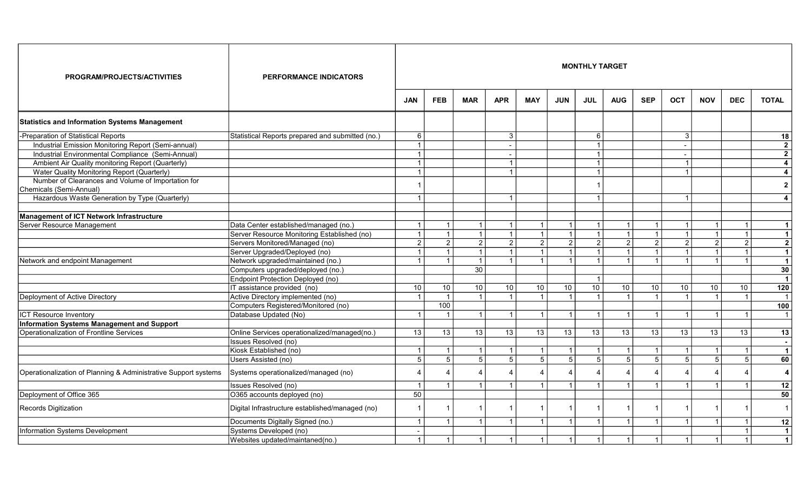| PROGRAM/PROJECTS/ACTIVITIES                                                   | <b>PERFORMANCE INDICATORS</b>                    |                          |                |                   |                           |                        |                | <b>MONTHLY TARGET</b> |                 |                         |                         |                 |                         |                         |
|-------------------------------------------------------------------------------|--------------------------------------------------|--------------------------|----------------|-------------------|---------------------------|------------------------|----------------|-----------------------|-----------------|-------------------------|-------------------------|-----------------|-------------------------|-------------------------|
|                                                                               |                                                  | <b>JAN</b>               | <b>FEB</b>     | <b>MAR</b>        | <b>APR</b>                | <b>MAY</b>             | <b>JUN</b>     | <b>JUL</b>            | <b>AUG</b>      | <b>SEP</b>              | <b>OCT</b>              | <b>NOV</b>      | <b>DEC</b>              | <b>TOTAL</b>            |
| <b>Statistics and Information Systems Management</b>                          |                                                  |                          |                |                   |                           |                        |                |                       |                 |                         |                         |                 |                         |                         |
| -Preparation of Statistical Reports                                           | Statistical Reports prepared and submitted (no.) | 6                        |                |                   | $\mathbf{3}$              |                        |                | 6                     |                 |                         | $\mathbf{3}$            |                 |                         | 18                      |
| Industrial Emission Monitoring Report (Semi-annual)                           |                                                  | $\overline{1}$           |                |                   |                           |                        |                | $\overline{1}$        |                 |                         | $\blacksquare$          |                 |                         | $\mathbf{2}$            |
| Industrial Environmental Compliance (Semi-Annual)                             |                                                  | $\mathbf{1}$             |                |                   |                           |                        |                | $\overline{1}$        |                 |                         | $\blacksquare$          |                 |                         | $\overline{2}$          |
| Ambient Air Quality monitoring Report (Quarterly)                             |                                                  |                          |                |                   |                           |                        |                | $\blacktriangleleft$  |                 |                         |                         |                 |                         | $\overline{\mathbf{4}}$ |
| Water Quality Monitoring Report (Quarterly)                                   |                                                  |                          |                |                   |                           |                        |                | $\overline{1}$        |                 |                         |                         |                 |                         | $\overline{\mathbf{4}}$ |
| Number of Clearances and Volume of Importation for<br>Chemicals (Semi-Annual) |                                                  |                          |                |                   |                           |                        |                |                       |                 |                         |                         |                 |                         | $\mathbf{2}$            |
| Hazardous Waste Generation by Type (Quarterly)                                |                                                  |                          |                |                   | $\overline{1}$            |                        |                |                       |                 |                         |                         |                 |                         | $\overline{4}$          |
|                                                                               |                                                  |                          |                |                   |                           |                        |                |                       |                 |                         |                         |                 |                         |                         |
| Management of ICT Network Infrastructure                                      |                                                  |                          |                |                   |                           |                        |                |                       |                 |                         |                         |                 |                         |                         |
| Server Resource Management                                                    | Data Center established/managed (no.)            |                          | $\overline{1}$ | $\mathbf{1}$      |                           |                        |                | $\mathbf{1}$          | $\mathbf{1}$    |                         |                         |                 |                         | $\mathbf{1}$            |
|                                                                               | Server Resource Monitoring Established (no)      | $\mathbf{1}$             | $\mathbf{1}$   | 1                 | $\overline{1}$            | $\overline{1}$         | $\overline{1}$ | $\vert$ 1             | $\vert$ 1       | $\overline{1}$          | $\overline{1}$          |                 | $\overline{1}$          | $\mathbf{1}$            |
|                                                                               | Servers Monitored/Managed (no)                   | 2 <sup>1</sup>           | $\overline{2}$ | 2                 | $\overline{2}$            | 2                      | 2              | $\vert$ 2             | $\overline{2}$  | 2                       | $\overline{2}$          | $\overline{2}$  | $\overline{2}$          | $\overline{2}$          |
|                                                                               | Server Upgraded/Deployed (no)                    |                          | $\overline{1}$ | $\vert$ 1         | $\overline{1}$            | $\overline{1}$         |                | $\vert$ 1             | $\mathbf{1}$    | $\overline{1}$          | $\overline{1}$          |                 | $\overline{1}$          | $\overline{1}$          |
| Network and endpoint Management                                               | Network upgraded/maintained (no.)                | $\overline{1}$           | $\mathbf{1}$   | 1                 | $\overline{1}$            | $\overline{1}$         |                | $\vert$ 1             | $\vert$ 1       | $\overline{1}$          |                         |                 | $\blacktriangleleft$    | $\mathbf{1}$            |
|                                                                               | Computers upgraded/deployed (no.)                |                          |                | 30                |                           |                        |                |                       |                 |                         |                         |                 |                         | 30                      |
|                                                                               | Endpoint Protection Deployed (no)                |                          |                |                   |                           |                        |                | $\overline{1}$        |                 |                         |                         |                 |                         | $\overline{1}$          |
|                                                                               | IT assistance provided (no)                      | 10                       | 10             | 10                | 10                        | 10                     | 10             | 10                    | 10              | 10                      | 10                      | 10              | 10                      | 120                     |
| Deployment of Active Directory                                                | Active Directory implemented (no)                | $\mathbf{1}$             | $\overline{1}$ | $\vert$ 1         |                           | - 1                    |                | $\overline{1}$        | $\vert$ 1       | -1                      |                         |                 | $\overline{1}$          | $\overline{1}$          |
|                                                                               | Computers Registered/Monitored (no)              |                          | 100            |                   |                           |                        |                |                       |                 |                         |                         |                 |                         | 100                     |
| <b>ICT Resource Inventory</b>                                                 | Database Updated (No)                            | $\overline{1}$           | $\overline{1}$ | $\vert$ 1 $\vert$ | $\overline{1}$            | $\overline{1}$         | $\overline{1}$ | $\vert$ 1             | $\mathbf{1}$    | $\overline{\mathbf{1}}$ | $\overline{\mathbf{1}}$ |                 | $\overline{1}$          | $\overline{1}$          |
| Information Systems Management and Support                                    |                                                  |                          |                |                   |                           |                        |                |                       |                 |                         |                         |                 |                         |                         |
| Operationalization of Frontline Services                                      | Online Services operationalized/managed(no.)     | 13                       | 13             | $\overline{13}$   | 13                        | 13                     | 13             | $\overline{13}$       | $\overline{13}$ | 13                      | 13                      | $\overline{13}$ | 13                      | 13                      |
|                                                                               | Issues Resolved (no)                             |                          |                |                   |                           |                        |                |                       |                 |                         |                         |                 |                         |                         |
|                                                                               | Kiosk Established (no)                           | $\overline{1}$           | $\overline{1}$ | $\vert$ 1         |                           |                        |                | $\vert$ 1             | 1 <sup>1</sup>  |                         |                         |                 | $\overline{\mathbf{1}}$ | $\mathbf{1}$            |
|                                                                               | Users Assisted (no)                              | 5 <sup>1</sup>           | $\overline{5}$ | 5 <sup>1</sup>    | $5\overline{)}$           | $\overline{5}$         | $\overline{5}$ | $\overline{5}$        | 5               | 5                       | $\overline{5}$          | 5               | $\overline{5}$          | 60                      |
| Operationalization of Planning & Administrative Support systems               | Systems operationalized/managed (no)             | $\boldsymbol{\varDelta}$ | $\overline{4}$ | Δ                 | $\boldsymbol{\varLambda}$ | $\boldsymbol{\Lambda}$ |                |                       |                 |                         |                         |                 |                         | 4                       |
|                                                                               | Issues Resolved (no)                             | $\overline{1}$           | $\overline{1}$ | $\vert$ 1         |                           |                        |                | $\blacktriangleleft$  | $\vert$ 1       | $\overline{1}$          |                         |                 |                         | $\overline{12}$         |
| Deployment of Office 365                                                      | O365 accounts deployed (no)                      | 50                       |                |                   |                           |                        |                |                       |                 |                         |                         |                 |                         | 50                      |
| Records Digitization                                                          | Digital Infrastructure established/managed (no)  | -1                       | -1             |                   |                           | -1                     |                |                       |                 |                         |                         |                 |                         | $\overline{1}$          |
|                                                                               | Documents Digitally Signed (no.)                 | $\mathbf{1}$             | $\overline{1}$ | $\lceil 1 \rceil$ | $\overline{1}$            | $\overline{1}$         | $\overline{1}$ | $\vert$ 1             | 1               | $\overline{\mathbf{1}}$ |                         |                 | $\overline{1}$          | 12                      |
| Information Systems Development                                               | Systems Developed (no)                           |                          |                |                   |                           |                        |                |                       |                 |                         |                         |                 | $\overline{1}$          | $\overline{1}$          |
|                                                                               | Websites updated/maintaned(no.)                  | $\overline{1}$           | $\mathbf{1}$   | 1                 |                           |                        |                |                       | $\mathbf{1}$    | -1                      |                         |                 | $\overline{1}$          | $\mathbf{1}$            |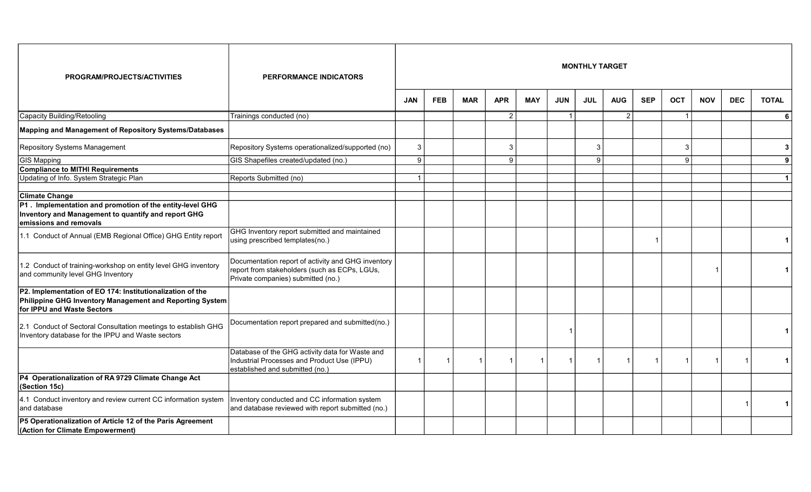| PROGRAM/PROJECTS/ACTIVITIES                                                                                                                         | <b>PERFORMANCE INDICATORS</b>                                                                                                             |            |                |            |                |                         |            | <b>MONTHLY TARGET</b> |                |            |                |            |            |                |
|-----------------------------------------------------------------------------------------------------------------------------------------------------|-------------------------------------------------------------------------------------------------------------------------------------------|------------|----------------|------------|----------------|-------------------------|------------|-----------------------|----------------|------------|----------------|------------|------------|----------------|
|                                                                                                                                                     |                                                                                                                                           | <b>JAN</b> | <b>FEB</b>     | <b>MAR</b> | <b>APR</b>     | <b>MAY</b>              | <b>JUN</b> | <b>JUL</b>            | <b>AUG</b>     | <b>SEP</b> | <b>OCT</b>     | <b>NOV</b> | <b>DEC</b> | <b>TOTAL</b>   |
| Capacity Building/Retooling                                                                                                                         | Trainings conducted (no)                                                                                                                  |            |                |            | $\overline{2}$ |                         |            |                       | $\overline{2}$ |            | -1             |            |            | <b>6</b>       |
| Mapping and Management of Repository Systems/Databases                                                                                              |                                                                                                                                           |            |                |            |                |                         |            |                       |                |            |                |            |            |                |
| Repository Systems Management                                                                                                                       | Repository Systems operationalized/supported (no)                                                                                         | 3          |                |            | $\sqrt{3}$     |                         |            | 3                     |                |            | 3              |            |            | 3 <sup>1</sup> |
| GIS Mapping                                                                                                                                         | GIS Shapefiles created/updated (no.)                                                                                                      | 9          |                |            | 9              |                         |            | 9                     |                |            | 9              |            |            | 9 <sup>1</sup> |
| <b>Compliance to MITHI Requirements</b>                                                                                                             |                                                                                                                                           |            |                |            |                |                         |            |                       |                |            |                |            |            |                |
| Updating of Info. System Strategic Plan                                                                                                             | Reports Submitted (no)                                                                                                                    |            |                |            |                |                         |            |                       |                |            |                |            |            | $\vert$ 1      |
| <b>Climate Change</b>                                                                                                                               |                                                                                                                                           |            |                |            |                |                         |            |                       |                |            |                |            |            |                |
| P1. Implementation and promotion of the entity-level GHG<br>Inventory and Management to quantify and report GHG<br>emissions and removals           |                                                                                                                                           |            |                |            |                |                         |            |                       |                |            |                |            |            |                |
| 1.1 Conduct of Annual (EMB Regional Office) GHG Entity report                                                                                       | GHG Inventory report submitted and maintained<br>using prescribed templates(no.)                                                          |            |                |            |                |                         |            |                       |                |            |                |            |            |                |
| 1.2 Conduct of training-workshop on entity level GHG inventory<br>and community level GHG Inventory                                                 | Documentation report of activity and GHG inventory<br>report from stakeholders (such as ECPs, LGUs,<br>Private companies) submitted (no.) |            |                |            |                |                         |            |                       |                |            |                | 1          |            |                |
| P2. Implementation of EO 174: Institutionalization of the<br>Philippine GHG Inventory Management and Reporting System<br>for IPPU and Waste Sectors |                                                                                                                                           |            |                |            |                |                         |            |                       |                |            |                |            |            |                |
| 2.1 Conduct of Sectoral Consultation meetings to establish GHG<br>Inventory database for the IPPU and Waste sectors                                 | Documentation report prepared and submitted(no.)                                                                                          |            |                |            |                |                         |            |                       |                |            |                |            |            |                |
|                                                                                                                                                     | Database of the GHG activity data for Waste and<br>Industrial Processes and Product Use (IPPU)<br>established and submitted (no.)         |            | $\overline{1}$ |            |                | $\overline{\mathbf{1}}$ |            |                       |                |            | $\overline{1}$ |            |            | $\vert$ 1      |
| P4 Operationalization of RA 9729 Climate Change Act<br>(Section 15c)                                                                                |                                                                                                                                           |            |                |            |                |                         |            |                       |                |            |                |            |            |                |
| 4.1 Conduct inventory and review current CC information system<br>and database                                                                      | Inventory conducted and CC information system<br>and database reviewed with report submitted (no.)                                        |            |                |            |                |                         |            |                       |                |            |                |            |            | $\vert$ 1      |
| P5 Operationalization of Article 12 of the Paris Agreement<br>(Action for Climate Empowerment)                                                      |                                                                                                                                           |            |                |            |                |                         |            |                       |                |            |                |            |            |                |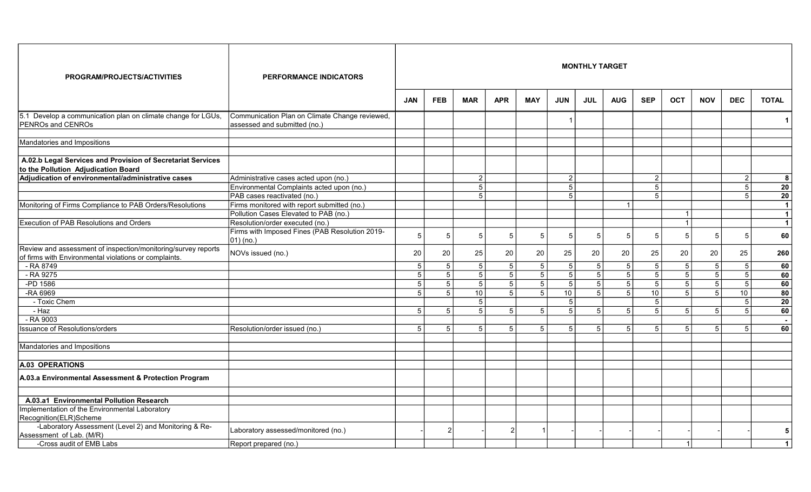| PROGRAM/PROJECTS/ACTIVITIES                                                                                            | <b>PERFORMANCE INDICATORS</b>                                                  |                |                 |                |                |                |                 | <b>MONTHLY TARGET</b> |                 |                 |                |                |                 |                 |
|------------------------------------------------------------------------------------------------------------------------|--------------------------------------------------------------------------------|----------------|-----------------|----------------|----------------|----------------|-----------------|-----------------------|-----------------|-----------------|----------------|----------------|-----------------|-----------------|
|                                                                                                                        |                                                                                | <b>JAN</b>     | <b>FEB</b>      | <b>MAR</b>     | <b>APR</b>     | <b>MAY</b>     | <b>JUN</b>      | <b>JUL</b>            | <b>AUG</b>      | <b>SEP</b>      | <b>OCT</b>     | <b>NOV</b>     | <b>DEC</b>      | <b>TOTAL</b>    |
| 5.1 Develop a communication plan on climate change for LGUs,<br>PENROs and CENROs                                      | Communication Plan on Climate Change reviewed,<br>assessed and submitted (no.) |                |                 |                |                |                |                 |                       |                 |                 |                |                |                 |                 |
| Mandatories and Impositions                                                                                            |                                                                                |                |                 |                |                |                |                 |                       |                 |                 |                |                |                 |                 |
| A.02.b Legal Services and Provision of Secretariat Services<br>to the Pollution Adjudication Board                     |                                                                                |                |                 |                |                |                |                 |                       |                 |                 |                |                |                 |                 |
| Adjudication of environmental/administrative cases                                                                     | Administrative cases acted upon (no.)                                          |                |                 | 2              |                |                | $\overline{2}$  |                       |                 | $\overline{2}$  |                |                | $\overline{2}$  | 8               |
|                                                                                                                        | Environmental Complaints acted upon (no.)                                      |                |                 | 5              |                |                | 5               |                       |                 | 5               |                |                | 5               | 20              |
|                                                                                                                        | PAB cases reactivated (no.)                                                    |                |                 | 5              |                |                | 5               |                       |                 | 5               |                |                | 5               | $\overline{20}$ |
| Monitoring of Firms Compliance to PAB Orders/Resolutions                                                               | Firms monitored with report submitted (no.)                                    |                |                 |                |                |                |                 |                       | $\overline{1}$  |                 |                |                |                 | $\overline{1}$  |
|                                                                                                                        | Pollution Cases Elevated to PAB (no.)                                          |                |                 |                |                |                |                 |                       |                 |                 |                |                |                 | $\mathbf{1}$    |
| <b>Execution of PAB Resolutions and Orders</b>                                                                         | Resolution/order executed (no.)                                                |                |                 |                |                |                |                 |                       |                 |                 |                |                |                 | $\overline{1}$  |
|                                                                                                                        | Firms with Imposed Fines (PAB Resolution 2019-<br>$(01)$ (no.)                 |                | 5               | 5              | 5              | 5              | 5               | 5                     | 5               | 5               | .5             | 5              | 5               | 60              |
| Review and assessment of inspection/monitoring/survey reports<br>of firms with Environmental violations or complaints. | NOVs issued (no.)                                                              | 20             | 20              | 25             | 20             | 20             | 25              | $20\,$                | 20              | 25              | 20             | 20             | 25              | 260             |
| - RA 8749                                                                                                              |                                                                                | 5 <sup>1</sup> | $5\phantom{.0}$ | 5 <sup>1</sup> | 5 <sup>5</sup> | 5 <sup>5</sup> | $5\phantom{.0}$ | 5                     | $\overline{5}$  | $5\phantom{.0}$ | 5              | $\sqrt{5}$     | $5\phantom{.0}$ | 60              |
| - RA 9275                                                                                                              |                                                                                | 5 <sup>1</sup> | 5               | 5              | 5              | $\overline{5}$ | $\overline{5}$  | $\overline{5}$        | $\overline{5}$  | $\overline{5}$  | 5              | 5              | $\overline{5}$  | 60              |
| $-PD$ 1586                                                                                                             |                                                                                | 5 <sup>1</sup> | $\sqrt{5}$      | 5              | 5 <sup>1</sup> | 5              | $\overline{5}$  | $\vert 5 \vert$       | $\overline{5}$  | 5               | 5              | $\overline{5}$ | $5\overline{)}$ | 60              |
| -RA 6969                                                                                                               |                                                                                | 5 <sup>1</sup> | 5               | 10             | $\overline{5}$ | $\overline{5}$ | $\overline{10}$ | $\overline{5}$        | $\overline{5}$  | 10              | 5              | $\overline{5}$ | 10              | $\overline{80}$ |
| - Toxic Chem                                                                                                           |                                                                                |                |                 | 5              |                |                | 5               |                       |                 | 5               |                |                | 5               | 20              |
| $-Haz$                                                                                                                 |                                                                                | 5 <sup>1</sup> | 5               | 5              | 5              | 5 <sup>1</sup> | 5               | 5                     | $5\phantom{.0}$ | 5               | $\overline{5}$ | 5              | 5               | 60              |
| $-RA$ 9003                                                                                                             |                                                                                |                |                 |                |                |                |                 |                       |                 |                 |                |                |                 | $\sim$          |
| <b>Issuance of Resolutions/orders</b>                                                                                  | Resolution/order issued (no.)                                                  | 5 <sup>1</sup> | $\overline{5}$  | 5              | 5              | 5 <sup>5</sup> | $5\overline{)}$ | $\overline{5}$        | $\overline{5}$  | 5               | .5             | 5              | 5               | 60              |
| Mandatories and Impositions                                                                                            |                                                                                |                |                 |                |                |                |                 |                       |                 |                 |                |                |                 |                 |
| A.03 OPERATIONS                                                                                                        |                                                                                |                |                 |                |                |                |                 |                       |                 |                 |                |                |                 |                 |
| A.03.a Environmental Assessment & Protection Program                                                                   |                                                                                |                |                 |                |                |                |                 |                       |                 |                 |                |                |                 |                 |
| A.03.a1 Environmental Pollution Research                                                                               |                                                                                |                |                 |                |                |                |                 |                       |                 |                 |                |                |                 |                 |
| Implementation of the Environmental Laboratory                                                                         |                                                                                |                |                 |                |                |                |                 |                       |                 |                 |                |                |                 |                 |
| Recognition(ELR)Scheme                                                                                                 |                                                                                |                |                 |                |                |                |                 |                       |                 |                 |                |                |                 |                 |
| -Laboratory Assessment (Level 2) and Monitoring & Re-<br>Assessment of Lab. (M/R)                                      | Laboratory assessed/monitored (no.)                                            |                | 2               |                |                |                |                 |                       |                 |                 |                |                |                 | 5               |
| -Cross audit of EMB Labs                                                                                               | Report prepared (no.)                                                          |                |                 |                |                |                |                 |                       |                 |                 |                |                |                 | $\mathbf{1}$    |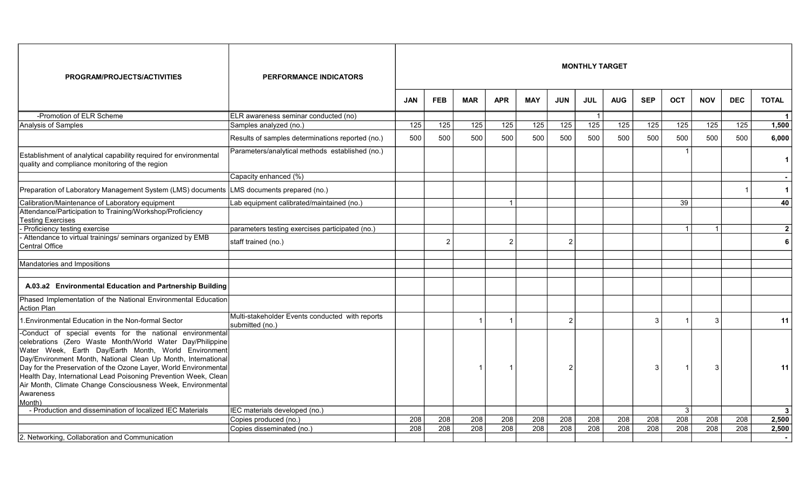| PROGRAM/PROJECTS/ACTIVITIES                                                                                                                                                                                                                                                                                                                                                                                                                                                  | <b>PERFORMANCE INDICATORS</b>                                      |                  |                  |                  |                  |                  |                | <b>MONTHLY TARGET</b> |                  |                  |                  |                  |                  |                |
|------------------------------------------------------------------------------------------------------------------------------------------------------------------------------------------------------------------------------------------------------------------------------------------------------------------------------------------------------------------------------------------------------------------------------------------------------------------------------|--------------------------------------------------------------------|------------------|------------------|------------------|------------------|------------------|----------------|-----------------------|------------------|------------------|------------------|------------------|------------------|----------------|
|                                                                                                                                                                                                                                                                                                                                                                                                                                                                              |                                                                    | <b>JAN</b>       | <b>FEB</b>       | <b>MAR</b>       | <b>APR</b>       | <b>MAY</b>       | <b>JUN</b>     | <b>JUL</b>            | <b>AUG</b>       | <b>SEP</b>       | <b>OCT</b>       | <b>NOV</b>       | <b>DEC</b>       | <b>TOTAL</b>   |
| -Promotion of ELR Scheme                                                                                                                                                                                                                                                                                                                                                                                                                                                     | ELR awareness seminar conducted (no)                               |                  |                  |                  |                  |                  |                | $\overline{1}$        |                  |                  |                  |                  |                  | $\overline{1}$ |
| Analysis of Samples                                                                                                                                                                                                                                                                                                                                                                                                                                                          | Samples analyzed (no.)                                             | $\overline{125}$ | 125              | 125              | 125              | 125              | 125            | $\overline{125}$      | 125              | 125              | 125              | 125              | 125              | 1,500          |
|                                                                                                                                                                                                                                                                                                                                                                                                                                                                              | Results of samples determinations reported (no.)                   | 500              | 500              | 500              | 500              | 500              | 500            | 500                   | 500              | 500              | 500              | 500              | 500              | 6,000          |
| Establishment of analytical capability required for environmental<br>quality and compliance monitoring of the region                                                                                                                                                                                                                                                                                                                                                         | Parameters/analytical methods established (no.)                    |                  |                  |                  |                  |                  |                |                       |                  |                  |                  |                  |                  | $\mathbf 1$    |
|                                                                                                                                                                                                                                                                                                                                                                                                                                                                              | Capacity enhanced (%)                                              |                  |                  |                  |                  |                  |                |                       |                  |                  |                  |                  |                  |                |
| Preparation of Laboratory Management System (LMS) documents                                                                                                                                                                                                                                                                                                                                                                                                                  | LMS documents prepared (no.)                                       |                  |                  |                  |                  |                  |                |                       |                  |                  |                  |                  |                  | $\mathbf{1}$   |
| Calibration/Maintenance of Laboratory equipment                                                                                                                                                                                                                                                                                                                                                                                                                              | Lab equipment calibrated/maintained (no.)                          |                  |                  |                  |                  |                  |                |                       |                  |                  | 39               |                  |                  | 40             |
| Attendance/Participation to Training/Workshop/Proficiency<br>Testing Exercises                                                                                                                                                                                                                                                                                                                                                                                               |                                                                    |                  |                  |                  |                  |                  |                |                       |                  |                  |                  |                  |                  |                |
| Proficiency testing exercise                                                                                                                                                                                                                                                                                                                                                                                                                                                 | parameters testing exercises participated (no.)                    |                  |                  |                  |                  |                  |                |                       |                  |                  | $\overline{1}$   | $\overline{1}$   |                  | $\overline{2}$ |
| - Attendance to virtual trainings/ seminars organized by EMB<br>Central Office                                                                                                                                                                                                                                                                                                                                                                                               | staff trained (no.)                                                |                  | $\mathcal{P}$    |                  | $\mathcal{P}$    |                  | $\overline{2}$ |                       |                  |                  |                  |                  |                  | 6              |
| Mandatories and Impositions                                                                                                                                                                                                                                                                                                                                                                                                                                                  |                                                                    |                  |                  |                  |                  |                  |                |                       |                  |                  |                  |                  |                  |                |
| A.03.a2 Environmental Education and Partnership Building                                                                                                                                                                                                                                                                                                                                                                                                                     |                                                                    |                  |                  |                  |                  |                  |                |                       |                  |                  |                  |                  |                  |                |
| Phased Implementation of the National Environmental Education<br>Action Plan                                                                                                                                                                                                                                                                                                                                                                                                 |                                                                    |                  |                  |                  |                  |                  |                |                       |                  |                  |                  |                  |                  |                |
| 1. Environmental Education in the Non-formal Sector                                                                                                                                                                                                                                                                                                                                                                                                                          | Multi-stakeholder Events conducted with reports<br>submitted (no.) |                  |                  |                  |                  |                  | $\overline{2}$ |                       |                  | 3                |                  | 3                |                  | 11             |
| -Conduct of special events for the national environmental<br>celebrations (Zero Waste Month/World Water Day/Philippine<br>Water Week, Earth Day/Earth Month, World Environment<br>Day/Environment Month, National Clean Up Month, International<br>Day for the Preservation of the Ozone Layer, World Environmental<br>Health Day, International Lead Poisoning Prevention Week, Clean<br>Air Month, Climate Change Consciousness Week, Environmental<br>Awareness<br>Month) |                                                                    |                  |                  | -1               |                  |                  | 2              |                       |                  | 3                |                  | 3                |                  | 11             |
| - Production and dissemination of localized IEC Materials                                                                                                                                                                                                                                                                                                                                                                                                                    | IEC materials developed (no.)                                      |                  |                  |                  |                  |                  |                |                       |                  |                  | $\mathbf{3}$     |                  |                  | $\mathbf{3}$   |
|                                                                                                                                                                                                                                                                                                                                                                                                                                                                              | Copies produced (no.)                                              | 208              | 208              | 208              | 208              | 208              | 208            | 208                   | 208              | 208              | 208              | 208              | 208              | 2,500          |
|                                                                                                                                                                                                                                                                                                                                                                                                                                                                              | Copies disseminated (no.)                                          | $\overline{208}$ | $\overline{208}$ | $\overline{208}$ | $\overline{208}$ | $\overline{208}$ | 208            | 208                   | $\overline{208}$ | $\overline{208}$ | $\overline{208}$ | $\overline{208}$ | $\overline{208}$ | 2,500          |
| 2. Networking, Collaboration and Communication                                                                                                                                                                                                                                                                                                                                                                                                                               |                                                                    |                  |                  |                  |                  |                  |                |                       |                  |                  |                  |                  |                  |                |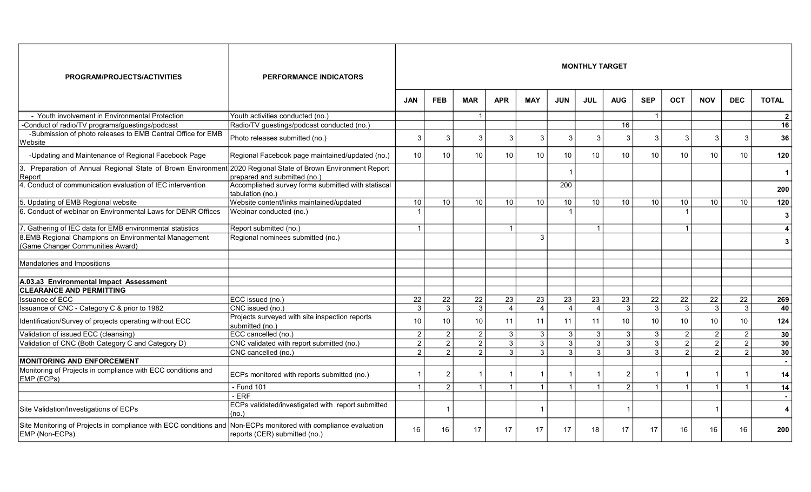| PROGRAM/PROJECTS/ACTIVITIES                                                               | <b>PERFORMANCE INDICATORS</b>                                                   |                         |                |                |                |                |                | <b>MONTHLY TARGET</b> |                 |                |                |                |                 |                |
|-------------------------------------------------------------------------------------------|---------------------------------------------------------------------------------|-------------------------|----------------|----------------|----------------|----------------|----------------|-----------------------|-----------------|----------------|----------------|----------------|-----------------|----------------|
|                                                                                           |                                                                                 | <b>JAN</b>              | <b>FEB</b>     | <b>MAR</b>     | <b>APR</b>     | <b>MAY</b>     | <b>JUN</b>     | <b>JUL</b>            | <b>AUG</b>      | <b>SEP</b>     | <b>OCT</b>     | <b>NOV</b>     | <b>DEC</b>      | <b>TOTAL</b>   |
| - Youth involvement in Environmental Protection                                           | Youth activities conducted (no.)                                                |                         |                | - 1            |                |                |                |                       |                 | $\overline{1}$ |                |                |                 | $\overline{2}$ |
| -Conduct of radio/TV programs/guestings/podcast                                           | Radio/TV guestings/podcast conducted (no.)                                      |                         |                |                |                |                |                |                       | 16              |                |                |                |                 | 16             |
| -Submission of photo releases to EMB Central Office for EMB<br>Website                    | Photo releases submitted (no.)                                                  | 3                       | 3              | -3             | 3              | 3              | 3              | 3                     | 3               | 3              | 3              | 3              | 3               | 36             |
| -Updating and Maintenance of Regional Facebook Page                                       | Regional Facebook page maintained/updated (no.)                                 | 10                      | 10             | 10             | 10             | 10             | 10             | 10                    | 10              | 10             | 10             | 10             | 10 <sup>°</sup> | 120            |
| 3. Preparation of Annual Regional State of Brown Environment<br>Report                    | 2020 Regional State of Brown Environment Report<br>prepared and submitted (no.) |                         |                |                |                |                |                |                       |                 |                |                |                |                 | $\mathbf 1$    |
| 4. Conduct of communication evaluation of IEC intervention                                | Accomplished survey forms submitted with statiscal<br>tabulation (no.)          |                         |                |                |                |                | 200            |                       |                 |                |                |                |                 | 200            |
| 5. Updating of EMB Regional website                                                       | Website content/links maintained/updated                                        | 10                      | 10             | 10             | 10             | 10             | 10             | 10                    | 10              | 10             | 10             | 10             | 10 <sup>1</sup> | 120            |
| 6. Conduct of webinar on Environmental Laws for DENR Offices                              | Webinar conducted (no.)                                                         |                         |                |                |                |                |                |                       |                 |                |                |                |                 | 3              |
| 7. Gathering of IEC data for EMB environmental statistics                                 | Report submitted (no.)                                                          | -1                      |                |                | $\overline{1}$ |                |                | $\overline{1}$        |                 |                | $\overline{1}$ |                |                 | 4              |
| 8. EMB Regional Champions on Environmental Management<br>(Game Changer Communities Award) | Regional nominees submitted (no.)                                               |                         |                |                |                | 3              |                |                       |                 |                |                |                |                 | 3              |
| Mandatories and Impositions                                                               |                                                                                 |                         |                |                |                |                |                |                       |                 |                |                |                |                 |                |
| A.03.a3 Environmental Impact Assessment                                                   |                                                                                 |                         |                |                |                |                |                |                       |                 |                |                |                |                 |                |
| <b>CLEARANCE AND PERMITTING</b>                                                           |                                                                                 |                         |                |                |                |                |                |                       |                 |                |                |                |                 |                |
| <b>Issuance of ECC</b>                                                                    | ECC issued (no.)                                                                | 22                      | 22             | 22             | 23             | 23             | 23             | $\overline{23}$       | 23              | 22             | 22             | 22             | 22              | 269            |
| Issuance of CNC - Category C & prior to 1982                                              | CNC issued (no.)                                                                | 3                       | $\overline{3}$ | $\overline{3}$ | $\overline{4}$ | $\overline{4}$ | $\overline{4}$ | $\boldsymbol{A}$      | 3               | 3              | $\mathbf{3}$   | 3              | $\overline{3}$  | 40             |
| Identification/Survey of projects operating without ECC                                   | Projects surveyed with site inspection reports<br>submitted (no.)               | 10                      | 10             | 10             | 11             | 11             | 11             | 11                    | 10 <sup>°</sup> | 10             | 10             | 10             | 10              | 124            |
| Validation of issued ECC (cleansing)                                                      | ECC cancelled (no.)                                                             | $\overline{2}$          | $\overline{2}$ | $\overline{2}$ | 3              | $\mathbf{3}$   | $\overline{3}$ | $\overline{3}$        | 3               | 3 <sup>1</sup> | $\overline{2}$ | $\overline{2}$ | $\overline{2}$  | 30             |
| Validation of CNC (Both Category C and Category D)                                        | CNC validated with report submitted (no.)                                       | $\overline{2}$          | $\overline{2}$ | $\overline{2}$ | 3              | $\overline{3}$ | 3 <sup>1</sup> | $\overline{3}$        | 3               | 3 <sup>1</sup> | $\overline{2}$ | $\overline{2}$ | $\overline{2}$  | 30             |
|                                                                                           | CNC cancelled (no.)                                                             | $\mathfrak{p}$          | $\overline{2}$ | $\overline{2}$ | 3              | $\overline{3}$ | 3              | 3                     | 3               | 3              | 2              | $\mathfrak{p}$ | 2               | 30             |
| <b>MONITORING AND ENFORCEMENT</b>                                                         |                                                                                 |                         |                |                |                |                |                |                       |                 |                |                |                |                 |                |
| Monitoring of Projects in compliance with ECC conditions and<br>EMP (ECPs)                | ECPs monitored with reports submitted (no.)                                     |                         | $\overline{2}$ |                |                |                |                |                       | 2               |                |                | -1             |                 | 14             |
|                                                                                           | - Fund 101                                                                      | $\overline{\mathbf{1}}$ | $\overline{2}$ |                | $\overline{1}$ | $\overline{1}$ |                | $\overline{1}$        | $\overline{2}$  | $\overline{1}$ |                | $\overline{1}$ |                 | 14             |
|                                                                                           | - ERF                                                                           |                         |                |                |                |                |                |                       |                 |                |                |                |                 |                |
| Site Validation/Investigations of ECPs                                                    | ECPs validated/investigated with report submitted<br>(no.)                      |                         |                |                |                |                |                |                       |                 |                |                | -1             |                 | 4              |
| Site Monitoring of Projects in compliance with ECC conditions and<br>EMP (Non-ECPs)       | Non-ECPs monitored with compliance evaluation<br>reports (CER) submitted (no.)  | 16                      | 16             | 17             | 17             | 17             | 17             | 18                    | 17              | 17             | 16             | 16             | 16              | 200            |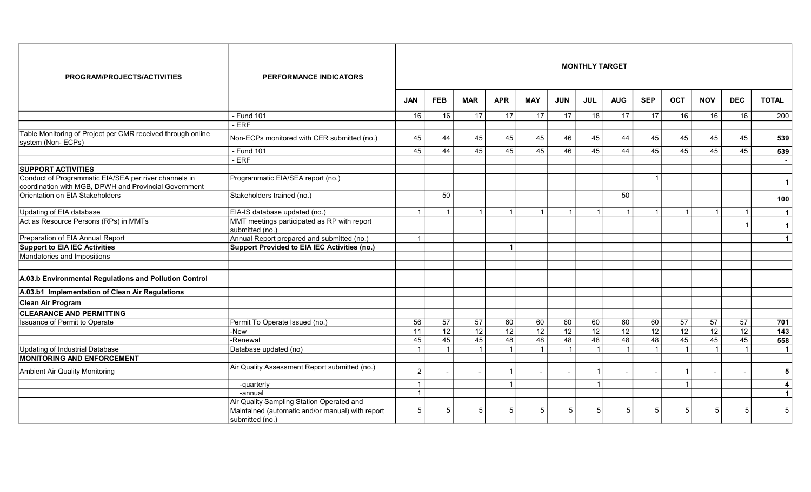| PROGRAM/PROJECTS/ACTIVITIES                                                                                    | <b>PERFORMANCE INDICATORS</b>                                                                                    |                         |                 |                 |                         |                 |                 | <b>MONTHLY TARGET</b> |                         |                          |                 |                         |                |                      |
|----------------------------------------------------------------------------------------------------------------|------------------------------------------------------------------------------------------------------------------|-------------------------|-----------------|-----------------|-------------------------|-----------------|-----------------|-----------------------|-------------------------|--------------------------|-----------------|-------------------------|----------------|----------------------|
|                                                                                                                |                                                                                                                  | <b>JAN</b>              | <b>FEB</b>      | <b>MAR</b>      | <b>APR</b>              | <b>MAY</b>      | <b>JUN</b>      | <b>JUL</b>            | <b>AUG</b>              | <b>SEP</b>               | <b>OCT</b>      | <b>NOV</b>              | <b>DEC</b>     | <b>TOTAL</b>         |
|                                                                                                                | - Fund 101                                                                                                       | 16                      | 16              | 17              | 17                      | 17              | 17              | 18                    | 17                      | 17                       | 16              | 16                      | 16             | 200                  |
|                                                                                                                | $-$ ERF                                                                                                          |                         |                 |                 |                         |                 |                 |                       |                         |                          |                 |                         |                |                      |
| Table Monitoring of Project per CMR received through online<br>system (Non-ECPs)                               | Non-ECPs monitored with CER submitted (no.)                                                                      | 45                      | 44              | 45              | 45                      | 45              | 46              | 45                    | 44                      | 45                       | 45              | 45                      | 45             | 539                  |
|                                                                                                                | - Fund 101                                                                                                       | 45                      | 44              | 45              | 45                      | 45              | 46              | 45                    | 44                      | 45                       | 45              | 45                      | 45             | 539                  |
|                                                                                                                | $-$ ERF                                                                                                          |                         |                 |                 |                         |                 |                 |                       |                         |                          |                 |                         |                |                      |
| <b>SUPPORT ACTIVITIES</b>                                                                                      |                                                                                                                  |                         |                 |                 |                         |                 |                 |                       |                         |                          |                 |                         |                |                      |
| Conduct of Programmatic EIA/SEA per river channels in<br>coordination with MGB, DPWH and Provincial Government | Programmatic EIA/SEA report (no.)                                                                                |                         |                 |                 |                         |                 |                 |                       |                         | $\overline{\phantom{a}}$ |                 |                         |                | $\mathbf{1}$         |
| Orientation on EIA Stakeholders                                                                                | Stakeholders trained (no.)                                                                                       |                         | 50              |                 |                         |                 |                 |                       | 50                      |                          |                 |                         |                | 100                  |
| Updating of EIA database                                                                                       | EIA-IS database updated (no.)                                                                                    |                         | $\overline{1}$  | $\overline{1}$  | $\overline{\mathbf{1}}$ | $\overline{1}$  |                 | $\overline{1}$        | $\overline{1}$          | $\overline{\mathbf{1}}$  |                 | $\overline{\mathbf{1}}$ |                | $\mathbf{1}$         |
| Act as Resource Persons (RPs) in MMTs                                                                          | MMT meetings participated as RP with report<br>submitted (no.)                                                   |                         |                 |                 |                         |                 |                 |                       |                         |                          |                 |                         |                | $\mathbf{1}$         |
| Preparation of EIA Annual Report                                                                               | Annual Report prepared and submitted (no.)                                                                       | $\overline{1}$          |                 |                 |                         |                 |                 |                       |                         |                          |                 |                         |                | $\mathbf{1}$         |
| <b>Support to EIA IEC Activities</b>                                                                           | <b>Support Provided to EIA IEC Activities (no.)</b>                                                              |                         |                 |                 | $\overline{\mathbf{1}}$ |                 |                 |                       |                         |                          |                 |                         |                |                      |
| Mandatories and Impositions                                                                                    |                                                                                                                  |                         |                 |                 |                         |                 |                 |                       |                         |                          |                 |                         |                |                      |
| A.03.b Environmental Regulations and Pollution Control                                                         |                                                                                                                  |                         |                 |                 |                         |                 |                 |                       |                         |                          |                 |                         |                |                      |
| A.03.b1 Implementation of Clean Air Regulations                                                                |                                                                                                                  |                         |                 |                 |                         |                 |                 |                       |                         |                          |                 |                         |                |                      |
| Clean Air Program                                                                                              |                                                                                                                  |                         |                 |                 |                         |                 |                 |                       |                         |                          |                 |                         |                |                      |
| <b>CLEARANCE AND PERMITTING</b>                                                                                |                                                                                                                  |                         |                 |                 |                         |                 |                 |                       |                         |                          |                 |                         |                |                      |
| Issuance of Permit to Operate                                                                                  | Permit To Operate Issued (no.)                                                                                   | 56                      | $\overline{57}$ | $\overline{57}$ | 60                      | 60              | 60              | 60                    | 60                      | 60                       | $\overline{57}$ | $\overline{57}$         | 57             | 701                  |
|                                                                                                                | -New                                                                                                             | $\overline{11}$         | $\overline{12}$ | $\overline{12}$ | 12                      | $\overline{12}$ | $\overline{12}$ | $\overline{12}$       | $\overline{12}$         | 12                       | $\overline{12}$ | $\overline{12}$         | 12             | $\overline{143}$     |
|                                                                                                                | -Renewal                                                                                                         | 45                      | 45              | 45              | 48                      | 48              | 48              | 48                    | 48                      | 48                       | 45              | 45                      | 45             | 558                  |
| Updating of Industrial Database                                                                                | Database updated (no)                                                                                            | $\overline{1}$          | $\mathbf{1}$    | $\overline{1}$  | $\overline{1}$          | $\overline{1}$  |                 | $\overline{1}$        | $\overline{\mathbf{1}}$ | $\overline{1}$           | $\overline{1}$  | -1                      | $\overline{1}$ | $\blacktriangleleft$ |
| <b>MONITORING AND ENFORCEMENT</b>                                                                              |                                                                                                                  |                         |                 |                 |                         |                 |                 |                       |                         |                          |                 |                         |                |                      |
| Ambient Air Quality Monitoring                                                                                 | Air Quality Assessment Report submitted (no.)                                                                    | 2                       |                 |                 |                         |                 |                 |                       |                         |                          |                 |                         |                | 5                    |
|                                                                                                                | -quarterly                                                                                                       | $\overline{1}$          |                 |                 | $\overline{1}$          |                 |                 | $\overline{1}$        |                         |                          | $\overline{1}$  |                         |                | 4                    |
|                                                                                                                | -annual                                                                                                          | $\overline{\mathbf{1}}$ |                 |                 |                         |                 |                 |                       |                         |                          |                 |                         |                | $\mathbf{1}$         |
|                                                                                                                | Air Quality Sampling Station Operated and<br>Maintained (automatic and/or manual) with report<br>submitted (no.) | .5                      | 5               | .5              | -5                      | -5              | 5               | -5                    | 5                       | 5                        | .5              | 5                       | 5              | 5                    |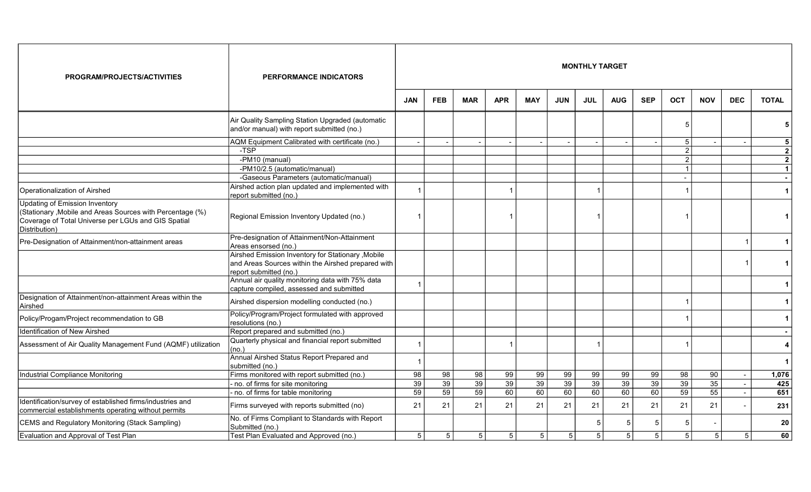| PROGRAM/PROJECTS/ACTIVITIES                                                                                                        | <b>PERFORMANCE INDICATORS</b>                                                                                                      |                |                 |                |                 |                 |            | <b>MONTHLY TARGET</b> |            |                |                |            |                |                |
|------------------------------------------------------------------------------------------------------------------------------------|------------------------------------------------------------------------------------------------------------------------------------|----------------|-----------------|----------------|-----------------|-----------------|------------|-----------------------|------------|----------------|----------------|------------|----------------|----------------|
|                                                                                                                                    |                                                                                                                                    | <b>JAN</b>     | <b>FEB</b>      | <b>MAR</b>     | <b>APR</b>      | <b>MAY</b>      | <b>JUN</b> | <b>JUL</b>            | <b>AUG</b> | <b>SEP</b>     | <b>OCT</b>     | <b>NOV</b> | <b>DEC</b>     | <b>TOTAL</b>   |
|                                                                                                                                    | Air Quality Sampling Station Upgraded (automatic<br>and/or manual) with report submitted (no.)                                     |                |                 |                |                 |                 |            |                       |            |                | 5              |            |                | 5              |
|                                                                                                                                    | AQM Equipment Calibrated with certificate (no.)                                                                                    |                |                 |                |                 |                 |            |                       |            |                | $\overline{5}$ |            |                | $\sqrt{5}$     |
|                                                                                                                                    | $-TSP$                                                                                                                             |                |                 |                |                 |                 |            |                       |            |                | $\overline{2}$ |            |                | $\mathbf{2}$   |
|                                                                                                                                    | -PM10 (manual)                                                                                                                     |                |                 |                |                 |                 |            |                       |            |                | $\overline{2}$ |            |                | $\overline{2}$ |
|                                                                                                                                    | -PM10/2.5 (automatic/manual)                                                                                                       |                |                 |                |                 |                 |            |                       |            |                | $\overline{1}$ |            |                | $\mathbf{1}$   |
|                                                                                                                                    | -Gaseous Parameters (automatic/manual)                                                                                             |                |                 |                |                 |                 |            |                       |            |                | $\sim$         |            |                | $\sim$         |
| Operationalization of Airshed                                                                                                      | Airshed action plan updated and implemented with<br>report submitted (no.)                                                         |                |                 |                | -1              |                 |            |                       |            |                |                |            |                | $\mathbf{1}$   |
| <b>Updating of Emission Inventory</b>                                                                                              |                                                                                                                                    |                |                 |                |                 |                 |            |                       |            |                |                |            |                |                |
| (Stationary , Mobile and Areas Sources with Percentage (%)<br>Coverage of Total Universe per LGUs and GIS Spatial<br>Distribution) | Regional Emission Inventory Updated (no.)                                                                                          |                |                 |                |                 |                 |            |                       |            |                |                |            |                | 1              |
| Pre-Designation of Attainment/non-attainment areas                                                                                 | Pre-designation of Attainment/Non-Attainment<br>Areas ensorsed (no.)                                                               |                |                 |                |                 |                 |            |                       |            |                |                |            |                | $\mathbf 1$    |
|                                                                                                                                    | Airshed Emission Inventory for Stationary , Mobile<br>and Areas Sources within the Airshed prepared with<br>report submitted (no.) |                |                 |                |                 |                 |            |                       |            |                |                |            |                | $\mathbf 1$    |
|                                                                                                                                    | Annual air quality monitoring data with 75% data<br>capture compiled, assessed and submitted                                       |                |                 |                |                 |                 |            |                       |            |                |                |            |                | $\mathbf 1$    |
| Designation of Attainment/non-attainment Areas within the<br>Airshed                                                               | Airshed dispersion modelling conducted (no.)                                                                                       |                |                 |                |                 |                 |            |                       |            |                |                |            |                | $\mathbf 1$    |
| Policy/Progam/Project recommendation to GB                                                                                         | Policy/Program/Project formulated with approved<br>resolutions (no.)                                                               |                |                 |                |                 |                 |            |                       |            |                |                |            |                | 1              |
| Identification of New Airshed                                                                                                      | Report prepared and submitted (no.)                                                                                                |                |                 |                |                 |                 |            |                       |            |                |                |            |                |                |
| Assessment of Air Quality Management Fund (AQMF) utilization                                                                       | Quarterly physical and financial report submitted<br>(no.)                                                                         |                |                 |                |                 |                 |            |                       |            |                |                |            |                | 4              |
|                                                                                                                                    | Annual Airshed Status Report Prepared and<br>submitted (no.)                                                                       |                |                 |                |                 |                 |            |                       |            |                |                |            |                | $\mathbf{1}$   |
| Industrial Compliance Monitoring                                                                                                   | Firms monitored with report submitted (no.)                                                                                        | 98             | 98              | 98             | 99              | 99              | 99         | 99                    | 99         | 99             | 98             | 90         | $\sim$         | 1,076          |
|                                                                                                                                    | no. of firms for site monitoring                                                                                                   | 39             | 39              | 39             | 39              | 39              | 39         | 39                    | 39         | 39             | 39             | 35         | $\sim$         | 425            |
|                                                                                                                                    | - no. of firms for table monitoring                                                                                                | 59             | $\overline{59}$ | 59             | 60              | 60              | 60         | 60                    | 60         | 60             | 59             | 55         | $\sim$         | 651            |
| Identification/survey of established firms/industries and<br>commercial establishments operating without permits                   | Firms surveyed with reports submitted (no)                                                                                         | 21             | 21              | 21             | 21              | 21              | 21         | 21                    | 21         | 21             | 21             | 21         |                | 231            |
| CEMS and Regulatory Monitoring (Stack Sampling)                                                                                    | No. of Firms Compliant to Standards with Report<br>Submitted (no.)                                                                 |                |                 |                |                 |                 |            | -5                    |            |                | .5             |            |                | 20             |
| Evaluation and Approval of Test Plan                                                                                               | Test Plan Evaluated and Approved (no.)                                                                                             | 5 <sup>1</sup> | 5               | $\overline{5}$ | $5\phantom{.0}$ | $5\phantom{.0}$ | 5          | $\overline{5}$        | 5          | 5 <sup>1</sup> | 5 <sup>1</sup> | 5          | 5 <sup>1</sup> | 60             |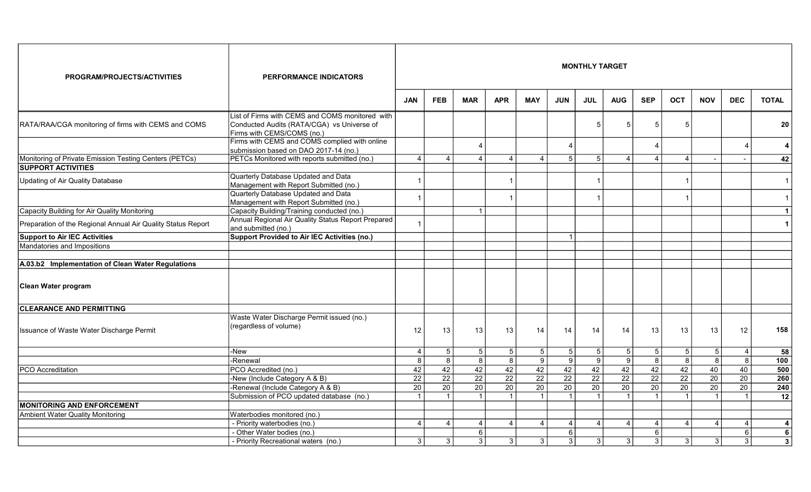| PROGRAM/PROJECTS/ACTIVITIES                                  | <b>PERFORMANCE INDICATORS</b>                                                                                                                                                |                 |                 |                 |                 |                 |                 | <b>MONTHLY TARGET</b> |                 |                 |                 |                 |                 |                         |
|--------------------------------------------------------------|------------------------------------------------------------------------------------------------------------------------------------------------------------------------------|-----------------|-----------------|-----------------|-----------------|-----------------|-----------------|-----------------------|-----------------|-----------------|-----------------|-----------------|-----------------|-------------------------|
|                                                              |                                                                                                                                                                              | <b>JAN</b>      | <b>FEB</b>      | <b>MAR</b>      | <b>APR</b>      | <b>MAY</b>      | <b>JUN</b>      | <b>JUL</b>            | <b>AUG</b>      | <b>SEP</b>      | <b>OCT</b>      | <b>NOV</b>      | <b>DEC</b>      | <b>TOTAL</b>            |
| RATA/RAA/CGA monitoring of firms with CEMS and COMS          | List of Firms with CEMS and COMS monitored with<br>Conducted Audits (RATA/CGA) vs Universe of<br>Firms with CEMS/COMS (no.)<br>Firms with CEMS and COMS complied with online |                 |                 |                 |                 |                 |                 | .5                    | 5               | 5               | 5               |                 |                 | 20                      |
|                                                              | submission based on DAO 2017-14 (no.)                                                                                                                                        |                 |                 | $\overline{4}$  |                 |                 | $\overline{4}$  |                       |                 | Δ               |                 |                 | $\overline{4}$  | $\overline{\mathbf{4}}$ |
| Monitoring of Private Emission Testing Centers (PETCs)       | PETCs Monitored with reports submitted (no.)                                                                                                                                 | $\overline{4}$  | $\overline{4}$  | $\overline{4}$  | $\overline{4}$  | $\overline{4}$  | $5\overline{)}$ | $\overline{5}$        | 4               | $\overline{4}$  | $\overline{4}$  |                 | $\sim$          | 42                      |
| <b>SUPPORT ACTIVITIES</b>                                    |                                                                                                                                                                              |                 |                 |                 |                 |                 |                 |                       |                 |                 |                 |                 |                 |                         |
| Updating of Air Quality Database                             | Quarterly Database Updated and Data<br>Management with Report Submitted (no.)                                                                                                |                 |                 |                 |                 |                 |                 | -1                    |                 |                 |                 |                 |                 | $\mathbf{1}$            |
|                                                              | Quarterly Database Updated and Data<br>Management with Report Submitted (no.)                                                                                                |                 |                 |                 |                 |                 |                 |                       |                 |                 |                 |                 |                 | $\mathbf{1}$            |
| Capacity Building for Air Quality Monitoring                 | Capacity Building/Training conducted (no.)                                                                                                                                   |                 |                 | $\overline{1}$  |                 |                 |                 |                       |                 |                 |                 |                 |                 | $\mathbf{1}$            |
| Preparation of the Regional Annual Air Quality Status Report | Annual Regional Air Quality Status Report Prepared<br>and submitted (no.)                                                                                                    |                 |                 |                 |                 |                 |                 |                       |                 |                 |                 |                 |                 | $\mathbf 1$             |
| <b>Support to Air IEC Activities</b>                         | <b>Support Provided to Air IEC Activities (no.)</b>                                                                                                                          |                 |                 |                 |                 |                 |                 |                       |                 |                 |                 |                 |                 |                         |
| Mandatories and Impositions                                  |                                                                                                                                                                              |                 |                 |                 |                 |                 |                 |                       |                 |                 |                 |                 |                 |                         |
|                                                              |                                                                                                                                                                              |                 |                 |                 |                 |                 |                 |                       |                 |                 |                 |                 |                 |                         |
| A.03.b2 Implementation of Clean Water Regulations            |                                                                                                                                                                              |                 |                 |                 |                 |                 |                 |                       |                 |                 |                 |                 |                 |                         |
| Clean Water program                                          |                                                                                                                                                                              |                 |                 |                 |                 |                 |                 |                       |                 |                 |                 |                 |                 |                         |
| <b>CLEARANCE AND PERMITTING</b>                              |                                                                                                                                                                              |                 |                 |                 |                 |                 |                 |                       |                 |                 |                 |                 |                 |                         |
| Issuance of Waste Water Discharge Permit                     | Waste Water Discharge Permit issued (no.)<br>(regardless of volume)                                                                                                          | 12              | 13              | 13              | 13              | 14              | 14              | 14                    | 14              | 13              | 13              | 13              | 12              | 158                     |
|                                                              | $\overline{-N}$ ew                                                                                                                                                           | $\overline{4}$  | 5 <sup>1</sup>  | 5               | $5\phantom{.0}$ | $\sqrt{5}$      | 5 <sub>5</sub>  | $\overline{5}$        | 5               | 5 <sup>5</sup>  | 5 <sub>5</sub>  | 5               | $\overline{4}$  | 58                      |
|                                                              | -Renewal                                                                                                                                                                     | 8               | $\overline{8}$  | 8               | $\overline{8}$  | $\overline{9}$  | 9 <sup>1</sup>  | $\overline{9}$        | 9               | 8               | $\overline{8}$  | $\overline{8}$  | $\overline{8}$  | 100                     |
| <b>PCO</b> Accreditation                                     | PCO Accredited (no.)                                                                                                                                                         | 42              | 42              | 42              | 42              | 42              | 42              | 42                    | 42              | 42              | 42              | 40              | 40              | 500                     |
|                                                              | -New (Include Category A & B)                                                                                                                                                | $\overline{22}$ | $\overline{22}$ | $\overline{22}$ | 22              | $\overline{22}$ | $\overline{22}$ | $\overline{22}$       | $\overline{22}$ | $\overline{22}$ | $\overline{22}$ | 20              | $\overline{20}$ | 260                     |
|                                                              | -Renewal (Include Category A & B)                                                                                                                                            | $\overline{20}$ | $\overline{20}$ | 20              | $\overline{20}$ | $\overline{20}$ | $\overline{20}$ | 20                    | $\overline{20}$ | 20              | $\overline{20}$ | $\overline{20}$ | $\overline{20}$ | 240                     |
|                                                              | Submission of PCO updated database (no.)                                                                                                                                     | $\overline{1}$  | $\mathbf{1}$    | -1              |                 | -1              |                 | $\overline{1}$        | $\overline{1}$  | $\overline{1}$  | -1              | -1              | $\overline{1}$  | 12                      |
| MONITORING AND ENFORCEMENT                                   |                                                                                                                                                                              |                 |                 |                 |                 |                 |                 |                       |                 |                 |                 |                 |                 |                         |
| Ambient Water Quality Monitoring                             | Waterbodies monitored (no.)                                                                                                                                                  |                 |                 |                 |                 |                 |                 |                       |                 |                 |                 |                 |                 |                         |
|                                                              | - Priority waterbodies (no.)                                                                                                                                                 | $\overline{4}$  | 4               | $\overline{4}$  | $\overline{4}$  | $\overline{4}$  | 4               | $\overline{4}$        | $\overline{4}$  | 4               | $\overline{4}$  | 4               | 4               | 4                       |
|                                                              | - Other Water bodies (no.)                                                                                                                                                   |                 |                 | 6               |                 |                 | 6 <sup>1</sup>  |                       |                 | 6               |                 |                 | $6\phantom{.}$  | 6                       |
|                                                              | - Priority Recreational waters (no.)                                                                                                                                         | 3               | 3               | 3               | 3               | $\overline{3}$  | $\overline{3}$  | $\overline{3}$        | 3 <sup>1</sup>  | 3               | $\mathbf{3}$    | 3               | $\mathbf{3}$    | $\overline{\mathbf{3}}$ |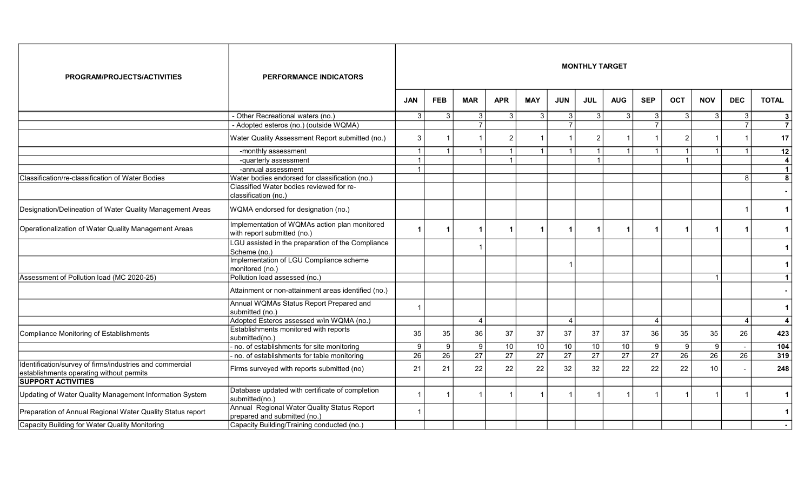| PROGRAM/PROJECTS/ACTIVITIES                                                                          | <b>PERFORMANCE INDICATORS</b>                                                |                         |                      |                 |                 |                      |                 | <b>MONTHLY TARGET</b> |                 |                         |                 |            |                 |                         |
|------------------------------------------------------------------------------------------------------|------------------------------------------------------------------------------|-------------------------|----------------------|-----------------|-----------------|----------------------|-----------------|-----------------------|-----------------|-------------------------|-----------------|------------|-----------------|-------------------------|
|                                                                                                      |                                                                              | <b>JAN</b>              | <b>FEB</b>           | <b>MAR</b>      | <b>APR</b>      | <b>MAY</b>           | <b>JUN</b>      | <b>JUL</b>            | <b>AUG</b>      | <b>SEP</b>              | <b>OCT</b>      | <b>NOV</b> | <b>DEC</b>      | <b>TOTAL</b>            |
|                                                                                                      | - Other Recreational waters (no.)                                            | 3                       | $\mathbf{3}$         | 3               | 3               | $\mathbf{3}$         | 3               | 3                     | $\vert$ 3       | 3                       | 3               | 3          | 3               | -3                      |
|                                                                                                      | - Adopted esteros (no.) (outside WQMA)                                       |                         |                      | $\overline{7}$  |                 |                      |                 |                       |                 | $\overline{7}$          |                 |            |                 | $\overline{7}$          |
|                                                                                                      | Water Quality Assessment Report submitted (no.)                              | 3                       |                      |                 | $\overline{2}$  |                      |                 | 2                     |                 |                         | $\overline{2}$  |            |                 | 17                      |
|                                                                                                      | -monthly assessment                                                          | -1                      |                      |                 | $\overline{1}$  | $\overline{1}$       |                 | $\mathbf 1$           |                 |                         |                 |            |                 | 12                      |
|                                                                                                      | -quarterly assessment                                                        | $\overline{\mathbf{1}}$ |                      |                 | $\overline{1}$  |                      |                 |                       |                 |                         |                 |            |                 | $\overline{4}$          |
|                                                                                                      | -annual assessment                                                           | - 1                     |                      |                 |                 |                      |                 |                       |                 |                         |                 |            |                 | $\vert$ 1               |
| Classification/re-classification of Water Bodies                                                     | Water bodies endorsed for classification (no.)                               |                         |                      |                 |                 |                      |                 |                       |                 |                         |                 |            | R               | 8                       |
|                                                                                                      | Classified Water bodies reviewed for re-<br>classification (no.)             |                         |                      |                 |                 |                      |                 |                       |                 |                         |                 |            |                 |                         |
| Designation/Delineation of Water Quality Management Areas                                            | WQMA endorsed for designation (no.)                                          |                         |                      |                 |                 |                      |                 |                       |                 |                         |                 |            |                 | -1                      |
| Operationalization of Water Quality Management Areas                                                 | Implementation of WQMAs action plan monitored<br>with report submitted (no.) |                         | $\blacktriangleleft$ |                 | $\mathbf 1$     | $\blacktriangleleft$ |                 | 1                     |                 | $\overline{\mathbf{1}}$ |                 |            |                 |                         |
|                                                                                                      | LGU assisted in the preparation of the Compliance<br>Scheme (no.)            |                         |                      |                 |                 |                      |                 |                       |                 |                         |                 |            |                 |                         |
|                                                                                                      | Implementation of LGU Compliance scheme<br>monitored (no.)                   |                         |                      |                 |                 |                      |                 |                       |                 |                         |                 |            |                 |                         |
| Assessment of Pollution load (MC 2020-25)                                                            | Pollution load assessed (no.)                                                |                         |                      |                 |                 |                      |                 |                       |                 |                         |                 | 1          |                 | $\mathbf 1$             |
|                                                                                                      | Attainment or non-attainment areas identified (no.)                          |                         |                      |                 |                 |                      |                 |                       |                 |                         |                 |            |                 |                         |
|                                                                                                      | Annual WQMAs Status Report Prepared and<br>submitted (no.)                   |                         |                      |                 |                 |                      |                 |                       |                 |                         |                 |            |                 | $\mathbf{1}$            |
|                                                                                                      | Adopted Esteros assessed w/in WQMA (no.)                                     |                         |                      | $\overline{4}$  |                 |                      | $\Delta$        |                       |                 | $\overline{4}$          |                 |            | $\Delta$        | $\overline{4}$          |
| Compliance Monitoring of Establishments                                                              | Establishments monitored with reports<br>submitted(no.)                      | 35                      | 35                   | 36              | 37              | 37                   | 37              | 37                    | 37              | 36                      | 35              | 35         | 26              | 423                     |
|                                                                                                      | no. of establishments for site monitoring                                    | 9                       | $\boldsymbol{9}$     | 9               | 10              | 10                   | 10              | 10                    | 10              | 9                       | 9               | 9          |                 | 104                     |
|                                                                                                      | no. of establishments for table monitoring                                   | 26                      | $\overline{26}$      | $\overline{27}$ | $\overline{27}$ | $\overline{27}$      | $\overline{27}$ | $\overline{27}$       | $\overline{27}$ | $\overline{27}$         | $\overline{26}$ | 26         | $\overline{26}$ | 319                     |
| Identification/survey of firms/industries and commercial<br>establishments operating without permits | Firms surveyed with reports submitted (no)                                   | 21                      | 21                   | 22              | 22              | 22                   | 32              | 32                    | 22              | 22                      | 22              | 10         |                 | 248                     |
| <b>SUPPORT ACTIVITIES</b>                                                                            |                                                                              |                         |                      |                 |                 |                      |                 |                       |                 |                         |                 |            |                 |                         |
| Updating of Water Quality Management Information System                                              | Database updated with certificate of completion<br>submitted(no.)            |                         | -1                   |                 |                 | -1                   |                 |                       |                 |                         |                 |            |                 | -1                      |
| Preparation of Annual Regional Water Quality Status report                                           | Annual Regional Water Quality Status Report<br>prepared and submitted (no.)  |                         |                      |                 |                 |                      |                 |                       |                 |                         |                 |            |                 | $\overline{\mathbf{1}}$ |
| Capacity Building for Water Quality Monitoring                                                       | Capacity Building/Training conducted (no.)                                   |                         |                      |                 |                 |                      |                 |                       |                 |                         |                 |            |                 |                         |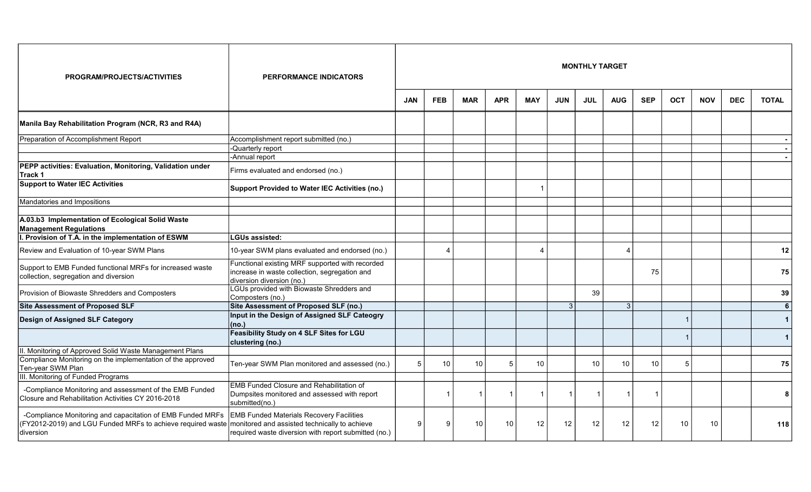| PROGRAM/PROJECTS/ACTIVITIES                                                                                                            | <b>PERFORMANCE INDICATORS</b>                                                                                                                            |            |                 |            |            |                         |            | <b>MONTHLY TARGET</b> |                |            |                |            |            |              |
|----------------------------------------------------------------------------------------------------------------------------------------|----------------------------------------------------------------------------------------------------------------------------------------------------------|------------|-----------------|------------|------------|-------------------------|------------|-----------------------|----------------|------------|----------------|------------|------------|--------------|
|                                                                                                                                        |                                                                                                                                                          | <b>JAN</b> | <b>FEB</b>      | <b>MAR</b> | <b>APR</b> | <b>MAY</b>              | <b>JUN</b> | <b>JUL</b>            | <b>AUG</b>     | <b>SEP</b> | <b>OCT</b>     | <b>NOV</b> | <b>DEC</b> | <b>TOTAL</b> |
| Manila Bay Rehabilitation Program (NCR, R3 and R4A)                                                                                    |                                                                                                                                                          |            |                 |            |            |                         |            |                       |                |            |                |            |            |              |
| Preparation of Accomplishment Report                                                                                                   | Accomplishment report submitted (no.)<br>Quarterly report<br>-Annual report                                                                              |            |                 |            |            |                         |            |                       |                |            |                |            |            |              |
| PEPP activities: Evaluation, Monitoring, Validation under<br>Track 1                                                                   | Firms evaluated and endorsed (no.)                                                                                                                       |            |                 |            |            |                         |            |                       |                |            |                |            |            |              |
| <b>Support to Water IEC Activities</b>                                                                                                 | Support Provided to Water IEC Activities (no.)                                                                                                           |            |                 |            |            |                         |            |                       |                |            |                |            |            |              |
| Mandatories and Impositions                                                                                                            |                                                                                                                                                          |            |                 |            |            |                         |            |                       |                |            |                |            |            |              |
| A.03.b3 Implementation of Ecological Solid Waste<br><b>Management Regulations</b>                                                      |                                                                                                                                                          |            |                 |            |            |                         |            |                       |                |            |                |            |            |              |
| I. Provision of T.A. in the implementation of ESWM                                                                                     | <b>LGUs assisted:</b>                                                                                                                                    |            |                 |            |            |                         |            |                       |                |            |                |            |            |              |
| Review and Evaluation of 10-year SWM Plans                                                                                             | 10-year SWM plans evaluated and endorsed (no.)                                                                                                           |            | $\overline{4}$  |            |            | $\boldsymbol{\Lambda}$  |            |                       | 4              |            |                |            |            | 12           |
| Support to EMB Funded functional MRFs for increased waste<br>collection, segregation and diversion                                     | Functional existing MRF supported with recorded<br>increase in waste collection, segregation and<br>diversion diversion (no.)                            |            |                 |            |            |                         |            |                       |                | 75         |                |            |            | 75           |
| Provision of Biowaste Shredders and Composters                                                                                         | LGUs provided with Biowaste Shredders and<br>Composters (no.)                                                                                            |            |                 |            |            |                         |            | 39                    |                |            |                |            |            | 39           |
| <b>Site Assessment of Proposed SLF</b>                                                                                                 | Site Assessment of Proposed SLF (no.)                                                                                                                    |            |                 |            |            |                         | 3          |                       | 3 <sup>1</sup> |            |                |            |            | 6            |
| <b>Design of Assigned SLF Category</b>                                                                                                 | Input in the Design of Assigned SLF Cateogry<br>(no.)                                                                                                    |            |                 |            |            |                         |            |                       |                |            |                |            |            | $\mathbf{1}$ |
|                                                                                                                                        | Feasibility Study on 4 SLF Sites for LGU<br>clustering (no.)                                                                                             |            |                 |            |            |                         |            |                       |                |            |                |            |            | $\mathbf 1$  |
| II. Monitoring of Approved Solid Waste Management Plans                                                                                |                                                                                                                                                          |            |                 |            |            |                         |            |                       |                |            |                |            |            |              |
| Compliance Monitoring on the implementation of the approved<br>Ten-year SWM Plan                                                       | Ten-year SWM Plan monitored and assessed (no.)                                                                                                           | 5          | 10 <sup>1</sup> | 10         | .5         | 10                      |            | 10 <sup>1</sup>       | 10             | 10         | $\overline{5}$ |            |            | 75           |
| III. Monitoring of Funded Programs                                                                                                     |                                                                                                                                                          |            |                 |            |            |                         |            |                       |                |            |                |            |            |              |
| -Compliance Monitoring and assessment of the EMB Funded<br>Closure and Rehabilitation Activities CY 2016-2018                          | <b>EMB Funded Closure and Rehabilitation of</b><br>Dumpsites monitored and assessed with report<br>submitted(no.)                                        |            | $\overline{1}$  |            |            | $\overline{\mathbf{1}}$ |            |                       |                |            |                |            |            | 8            |
| -Compliance Monitoring and capacitation of EMB Funded MRFs<br>(FY2012-2019) and LGU Funded MRFs to achieve required waste<br>diversion | <b>EMB Funded Materials Recovery Facilities</b><br>monitored and assisted technically to achieve<br>required waste diversion with report submitted (no.) | 9          | q               | 10         | 10         | 12                      | 12         | 12                    | 12             | 12         | 10             | 10         |            | 118          |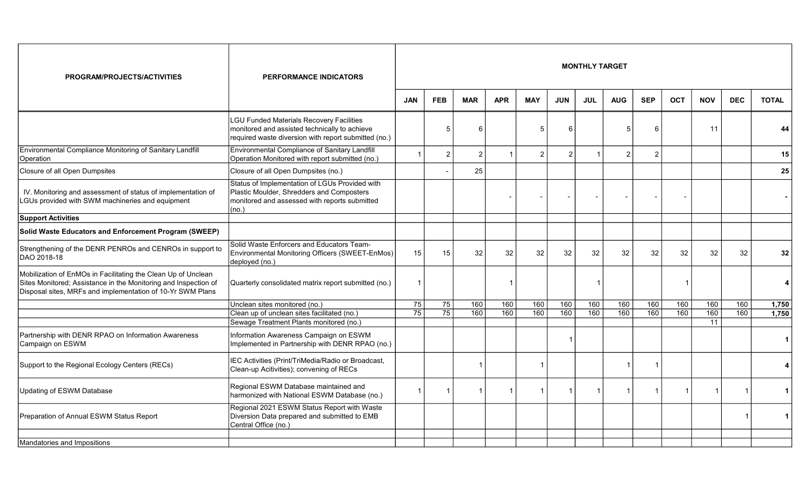| PROGRAM/PROJECTS/ACTIVITIES                                                                                                                                                                    | <b>PERFORMANCE INDICATORS</b>                                                                                                                         | <b>MONTHLY TARGET</b> |                 |                |            |                          |            |            |            |                |                          |            |            |                      |
|------------------------------------------------------------------------------------------------------------------------------------------------------------------------------------------------|-------------------------------------------------------------------------------------------------------------------------------------------------------|-----------------------|-----------------|----------------|------------|--------------------------|------------|------------|------------|----------------|--------------------------|------------|------------|----------------------|
|                                                                                                                                                                                                |                                                                                                                                                       | <b>JAN</b>            | <b>FEB</b>      | <b>MAR</b>     | <b>APR</b> | <b>MAY</b>               | <b>JUN</b> | <b>JUL</b> | <b>AUG</b> | <b>SEP</b>     | <b>OCT</b>               | <b>NOV</b> | <b>DEC</b> | <b>TOTAL</b>         |
|                                                                                                                                                                                                | LGU Funded Materials Recovery Facilities<br>monitored and assisted technically to achieve<br>required waste diversion with report submitted (no.)     |                       | 5               | 6              |            | 5                        | 6          |            | 5          | 6              |                          | 11         |            | 44                   |
| Environmental Compliance Monitoring of Sanitary Landfill<br>Operation                                                                                                                          | Environmental Compliance of Sanitary Landfill<br>Operation Monitored with report submitted (no.)                                                      |                       | $\overline{2}$  | $\overline{2}$ | -1         | $\overline{2}$           | 2          |            | 2          | $\overline{2}$ |                          |            |            | 15                   |
| Closure of all Open Dumpsites                                                                                                                                                                  | Closure of all Open Dumpsites (no.)                                                                                                                   |                       |                 | 25             |            |                          |            |            |            |                |                          |            |            | 25                   |
| IV. Monitoring and assessment of status of implementation of<br>LGUs provided with SWM machineries and equipment                                                                               | Status of Implementation of LGUs Provided with<br>Plastic Moulder, Shredders and Composters<br>monitored and assessed with reports submitted<br>(no.) |                       |                 |                |            | $\overline{\phantom{a}}$ |            |            |            |                | $\overline{\phantom{a}}$ |            |            |                      |
| <b>Support Activities</b>                                                                                                                                                                      |                                                                                                                                                       |                       |                 |                |            |                          |            |            |            |                |                          |            |            |                      |
| Solid Waste Educators and Enforcement Program (SWEEP)                                                                                                                                          |                                                                                                                                                       |                       |                 |                |            |                          |            |            |            |                |                          |            |            |                      |
| Strengthening of the DENR PENROs and CENROs in support to<br>IDAO 2018-18                                                                                                                      | Solid Waste Enforcers and Educators Team-<br>Environmental Monitoring Officers (SWEET-EnMos)<br>deployed (no.)                                        | 15                    | 15              | 32             | 32         | 32                       | 32         | 32         | 32         | 32             | 32                       | 32         | 32         | 32 <sub>2</sub>      |
| Mobilization of EnMOs in Facilitating the Clean Up of Unclean<br>Sites Monitored; Assistance in the Monitoring and Inspection of<br>Disposal sites, MRFs and implementation of 10-Yr SWM Plans | Quarterly consolidated matrix report submitted (no.)                                                                                                  | 1                     |                 |                |            |                          |            |            |            |                | -1                       |            |            | 4                    |
|                                                                                                                                                                                                | Unclean sites monitored (no.)                                                                                                                         | 75                    | 75              | 160            | 160        | 160                      | 160        | 160        | 160        | 160            | 160                      | 160        | 160        | 1,750                |
|                                                                                                                                                                                                | Clean up of unclean sites facilitated (no.)                                                                                                           | 75                    | $\overline{75}$ | 160            | 160        | 160                      | 160        | 160        | 160        | 160            | 160                      | 160        | 160        | 1,750                |
|                                                                                                                                                                                                | Sewage Treatment Plants monitored (no.)                                                                                                               |                       |                 |                |            |                          |            |            |            |                |                          | 11         |            |                      |
| Partnership with DENR RPAO on Information Awareness<br>Campaign on ESWM                                                                                                                        | Information Awareness Campaign on ESWM<br>Implemented in Partnership with DENR RPAO (no.)                                                             |                       |                 |                |            |                          |            |            |            |                |                          |            |            | $\blacktriangleleft$ |
| Support to the Regional Ecology Centers (RECs)                                                                                                                                                 | IEC Activities (Print/TriMedia/Radio or Broadcast,<br>Clean-up Acitivities); convening of RECs                                                        |                       |                 |                |            | -1                       |            |            |            |                |                          |            |            | $\overline{4}$       |
| Updating of ESWM Database                                                                                                                                                                      | Regional ESWM Database maintained and<br>harmonized with National ESWM Database (no.)                                                                 |                       |                 |                |            |                          |            |            |            |                |                          | 1          |            | 1 <sup>1</sup>       |
| Preparation of Annual ESWM Status Report                                                                                                                                                       | Regional 2021 ESWM Status Report with Waste<br>Diversion Data prepared and submitted to EMB<br>Central Office (no.)                                   |                       |                 |                |            |                          |            |            |            |                |                          |            |            | $\vert$ 1            |
|                                                                                                                                                                                                |                                                                                                                                                       |                       |                 |                |            |                          |            |            |            |                |                          |            |            |                      |
| Mandatories and Impositions                                                                                                                                                                    |                                                                                                                                                       |                       |                 |                |            |                          |            |            |            |                |                          |            |            |                      |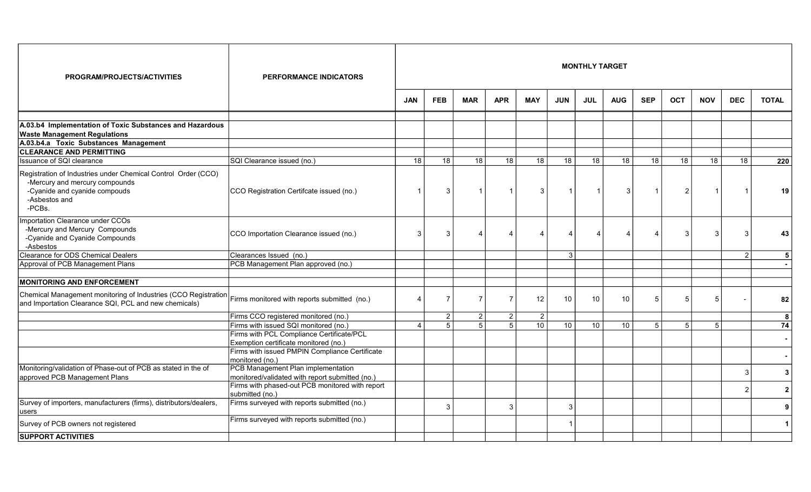| PROGRAM/PROJECTS/ACTIVITIES                                                                                                                                 | <b>PERFORMANCE INDICATORS</b>                         | <b>MONTHLY TARGET</b> |                |                |                |                |            |            |                |             |                |                |                |                |
|-------------------------------------------------------------------------------------------------------------------------------------------------------------|-------------------------------------------------------|-----------------------|----------------|----------------|----------------|----------------|------------|------------|----------------|-------------|----------------|----------------|----------------|----------------|
|                                                                                                                                                             |                                                       | <b>JAN</b>            | <b>FEB</b>     | <b>MAR</b>     | <b>APR</b>     | <b>MAY</b>     | <b>JUN</b> | <b>JUL</b> | <b>AUG</b>     | <b>SEP</b>  | <b>OCT</b>     | <b>NOV</b>     | <b>DEC</b>     | <b>TOTAL</b>   |
| A.03.b4 Implementation of Toxic Substances and Hazardous<br><b>Waste Management Regulations</b>                                                             |                                                       |                       |                |                |                |                |            |            |                |             |                |                |                |                |
| A.03.b4.a Toxic Substances Management                                                                                                                       |                                                       |                       |                |                |                |                |            |            |                |             |                |                |                |                |
| <b>CLEARANCE AND PERMITTING</b>                                                                                                                             |                                                       |                       |                |                |                |                |            |            |                |             |                |                |                |                |
| Issuance of SQI clearance                                                                                                                                   | SQI Clearance issued (no.)                            | $\overline{18}$       | 18             | 18             | 18             | 18             | 18         | 18         | 18             | 18          | 18             | 18             | 18             | 220            |
| Registration of Industries under Chemical Control Order (CCO)<br>-Mercury and mercury compounds<br>-Cyanide and cyanide compouds<br>-Asbestos and<br>-PCBs. | CCO Registration Certifcate issued (no.)              |                       | 3              | $\overline{1}$ | $\overline{1}$ | $\mathbf{3}$   |            |            | 3 <sup>1</sup> | 1           | $\overline{2}$ |                |                | 19             |
| Importation Clearance under CCOs<br>-Mercury and Mercury Compounds<br>-Cyanide and Cyanide Compounds<br>-Asbestos                                           | CCO Importation Clearance issued (no.)                | 3                     | 3              | Δ              | Δ              | $\overline{4}$ | Δ          |            |                |             | 3              | 3              | 3              | 43             |
| Clearance for ODS Chemical Dealers                                                                                                                          | Clearances Issued (no.)                               |                       |                |                |                |                | $\vert$ 3  |            |                |             |                |                | $\mathcal{P}$  | 5              |
| Approval of PCB Management Plans                                                                                                                            | PCB Management Plan approved (no.)                    |                       |                |                |                |                |            |            |                |             |                |                |                |                |
| <b>MONITORING AND ENFORCEMENT</b>                                                                                                                           |                                                       |                       |                |                |                |                |            |            |                |             |                |                |                |                |
| Chemical Management monitoring of Industries (CCO Registration<br>and Importation Clearance SQI, PCL and new chemicals)                                     | Firms monitored with reports submitted (no.)          |                       | $\overline{7}$ | $\overline{7}$ | $\overline{7}$ | 12             | 10         | 10         | 10             | 5           | 5              | 5              |                | 82             |
|                                                                                                                                                             | Firms CCO registered monitored (no.)                  |                       | $\overline{2}$ | 2 <sup>2</sup> | $\overline{2}$ | $\overline{2}$ |            |            |                |             |                |                |                | 8              |
|                                                                                                                                                             | Firms with issued SQI monitored (no.)                 |                       | $\overline{5}$ | $\overline{5}$ | 5              | 10             | 10         | 10         | 10             | $5^{\circ}$ | 5              | $\overline{5}$ |                | 74             |
|                                                                                                                                                             | Firms with PCL Compliance Certificate/PCL             |                       |                |                |                |                |            |            |                |             |                |                |                |                |
|                                                                                                                                                             | Exemption certificate monitored (no.)                 |                       |                |                |                |                |            |            |                |             |                |                |                |                |
|                                                                                                                                                             | Firms with issued PMPIN Compliance Certificate        |                       |                |                |                |                |            |            |                |             |                |                |                |                |
| Monitoring/validation of Phase-out of PCB as stated in the of                                                                                               | monitored (no.)<br>PCB Management Plan implementation |                       |                |                |                |                |            |            |                |             |                |                |                |                |
| approved PCB Management Plans                                                                                                                               | monitored/validated with report submitted (no.)       |                       |                |                |                |                |            |            |                |             |                |                | $\mathbf{3}$   | 3              |
|                                                                                                                                                             | Firms with phased-out PCB monitored with report       |                       |                |                |                |                |            |            |                |             |                |                | $\overline{2}$ | $\overline{2}$ |
|                                                                                                                                                             | submitted (no.)                                       |                       |                |                |                |                |            |            |                |             |                |                |                |                |
| Survey of importers, manufacturers (firms), distributors/dealers,<br>lusers                                                                                 | Firms surveyed with reports submitted (no.)           |                       | 3              |                | 3              |                | 3          |            |                |             |                |                |                | 9              |
| Survey of PCB owners not registered                                                                                                                         | Firms surveyed with reports submitted (no.)           |                       |                |                |                |                |            |            |                |             |                |                |                | $\mathbf 1$    |
| <b>SUPPORT ACTIVITIES</b>                                                                                                                                   |                                                       |                       |                |                |                |                |            |            |                |             |                |                |                |                |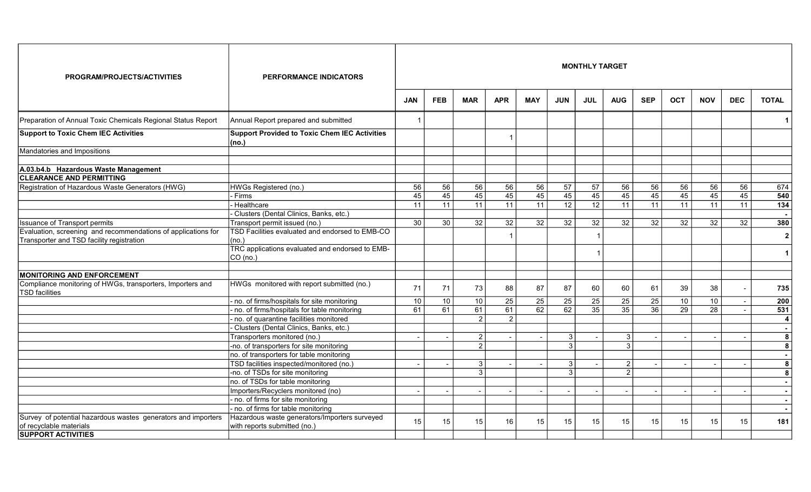| <b>PROGRAM/PROJECTS/ACTIVITIES</b>                                                       | <b>PERFORMANCE INDICATORS</b>                                                 | <b>MONTHLY TARGET</b> |            |                 |                 |                 |                 |                 |                 |                 |            |                 |            |              |  |
|------------------------------------------------------------------------------------------|-------------------------------------------------------------------------------|-----------------------|------------|-----------------|-----------------|-----------------|-----------------|-----------------|-----------------|-----------------|------------|-----------------|------------|--------------|--|
|                                                                                          |                                                                               | <b>JAN</b>            | <b>FEB</b> | <b>MAR</b>      | <b>APR</b>      | <b>MAY</b>      | <b>JUN</b>      | <b>JUL</b>      | <b>AUG</b>      | <b>SEP</b>      | <b>OCT</b> | <b>NOV</b>      | <b>DEC</b> | <b>TOTAL</b> |  |
| Preparation of Annual Toxic Chemicals Regional Status Report                             | Annual Report prepared and submitted                                          |                       |            |                 |                 |                 |                 |                 |                 |                 |            |                 |            | $\mathbf 1$  |  |
| <b>Support to Toxic Chem IEC Activities</b>                                              | <b>Support Provided to Toxic Chem IEC Activities</b><br>(no.)                 |                       |            |                 |                 |                 |                 |                 |                 |                 |            |                 |            |              |  |
| Mandatories and Impositions                                                              |                                                                               |                       |            |                 |                 |                 |                 |                 |                 |                 |            |                 |            |              |  |
| A.03.b4.b Hazardous Waste Management                                                     |                                                                               |                       |            |                 |                 |                 |                 |                 |                 |                 |            |                 |            |              |  |
| <b>CLEARANCE AND PERMITTING</b>                                                          |                                                                               |                       |            |                 |                 |                 |                 |                 |                 |                 |            |                 |            |              |  |
| Registration of Hazardous Waste Generators (HWG)                                         | HWGs Registered (no.)                                                         | 56                    | 56         | 56              | 56              | 56              | $\overline{57}$ | 57              | 56              | 56              | 56         | 56              | 56         | 674          |  |
|                                                                                          | - Firms                                                                       | 45                    | 45         | 45              | 45              | 45              | 45              | 45              | 45              | 45              | 45         | 45              | 45         | 540          |  |
|                                                                                          | Healthcare                                                                    | 11                    | 11         | 11              | 11              | 11              | 12              | $\overline{12}$ | 11              | 11              | 11         | 11              | 11         | 134          |  |
|                                                                                          | Clusters (Dental Clinics, Banks, etc.)                                        |                       |            |                 |                 |                 |                 |                 |                 |                 |            |                 |            | $\sim$       |  |
| Issuance of Transport permits                                                            | Transport permit issued (no.)                                                 | 30                    | 30         | $\overline{32}$ | 32              | 32              | 32              | 32              | $\overline{32}$ | 32              | 32         | $\overline{32}$ | 32         | 380          |  |
| Evaluation, screening and recommendations of applications for                            | TSD Facilities evaluated and endorsed to EMB-CO                               |                       |            |                 |                 |                 |                 |                 |                 |                 |            |                 |            |              |  |
| Transporter and TSD facility registration                                                | (no.)                                                                         |                       |            |                 |                 |                 |                 |                 |                 |                 |            |                 |            | $\mathbf{2}$ |  |
|                                                                                          | TRC applications evaluated and endorsed to EMB-<br>CO (no.)                   |                       |            |                 |                 |                 |                 |                 |                 |                 |            |                 |            | $\mathbf 1$  |  |
| <b>MONITORING AND ENFORCEMENT</b>                                                        |                                                                               |                       |            |                 |                 |                 |                 |                 |                 |                 |            |                 |            |              |  |
| Compliance monitoring of HWGs, transporters, Importers and<br><b>TSD</b> facilities      | HWGs monitored with report submitted (no.)                                    | 71                    | 71         | 73              | 88              | 87              | 87              | 60              | 60              | 61              | 39         | 38              |            | 735          |  |
|                                                                                          | no. of firms/hospitals for site monitoring                                    | 10                    | 10         | 10              | $\overline{25}$ | $\overline{25}$ | $\overline{25}$ | 25              | 25              | $\overline{25}$ | 10         | 10              |            | 200          |  |
|                                                                                          | no. of firms/hospitals for table monitoring                                   | 61                    | 61         | 61              | 61              | 62              | 62              | $\overline{35}$ | $\overline{35}$ | 36              | 29         | 28              | $\sim$     | 531          |  |
|                                                                                          | no. of quarantine facilities monitored                                        |                       |            | $\mathcal{P}$   | $\overline{2}$  |                 |                 |                 |                 |                 |            |                 |            | 4            |  |
|                                                                                          | Clusters (Dental Clinics, Banks, etc.)                                        |                       |            |                 |                 |                 |                 |                 |                 |                 |            |                 |            | $\sim$       |  |
|                                                                                          | Transporters monitored (no.)                                                  |                       |            | $\overline{2}$  |                 | $\overline{a}$  | 3 <sup>1</sup>  |                 | 3               |                 |            |                 |            | 8            |  |
|                                                                                          | -no. of transporters for site monitoring                                      |                       |            | $\overline{2}$  |                 |                 | 3 <sup>1</sup>  |                 | $\overline{3}$  |                 |            |                 |            | 8            |  |
|                                                                                          | no. of transporters for table monitoring                                      |                       |            |                 |                 |                 |                 |                 |                 |                 |            |                 |            | $\sim$       |  |
|                                                                                          | TSD facilities inspected/monitored (no.)                                      |                       |            | 3               |                 |                 | 3               |                 | $\overline{2}$  |                 |            |                 |            | 8            |  |
|                                                                                          | -no. of TSDs for site monitoring                                              |                       |            | 3               |                 |                 | 3 <sup>1</sup>  |                 | $\overline{2}$  |                 |            |                 |            | 8            |  |
|                                                                                          | no. of TSDs for table monitoring                                              |                       |            |                 |                 |                 |                 |                 |                 |                 |            |                 |            |              |  |
|                                                                                          | Importers/Recyclers monitored (no)                                            |                       |            |                 |                 |                 |                 |                 |                 |                 |            |                 |            |              |  |
|                                                                                          | no. of firms for site monitoring                                              |                       |            |                 |                 |                 |                 |                 |                 |                 |            |                 |            | $\sim$       |  |
|                                                                                          | - no. of firms for table monitoring                                           |                       |            |                 |                 |                 |                 |                 |                 |                 |            |                 |            |              |  |
| Survey of potential hazardous wastes generators and importers<br>of recyclable materials | Hazardous waste generators/Importers surveyed<br>with reports submitted (no.) | 15                    | 15         | 15              | 16              | 15              | 15              | 15              | 15              | 15              | 15         | 15              | 15         | 181          |  |
| <b>SUPPORT ACTIVITIES</b>                                                                |                                                                               |                       |            |                 |                 |                 |                 |                 |                 |                 |            |                 |            |              |  |